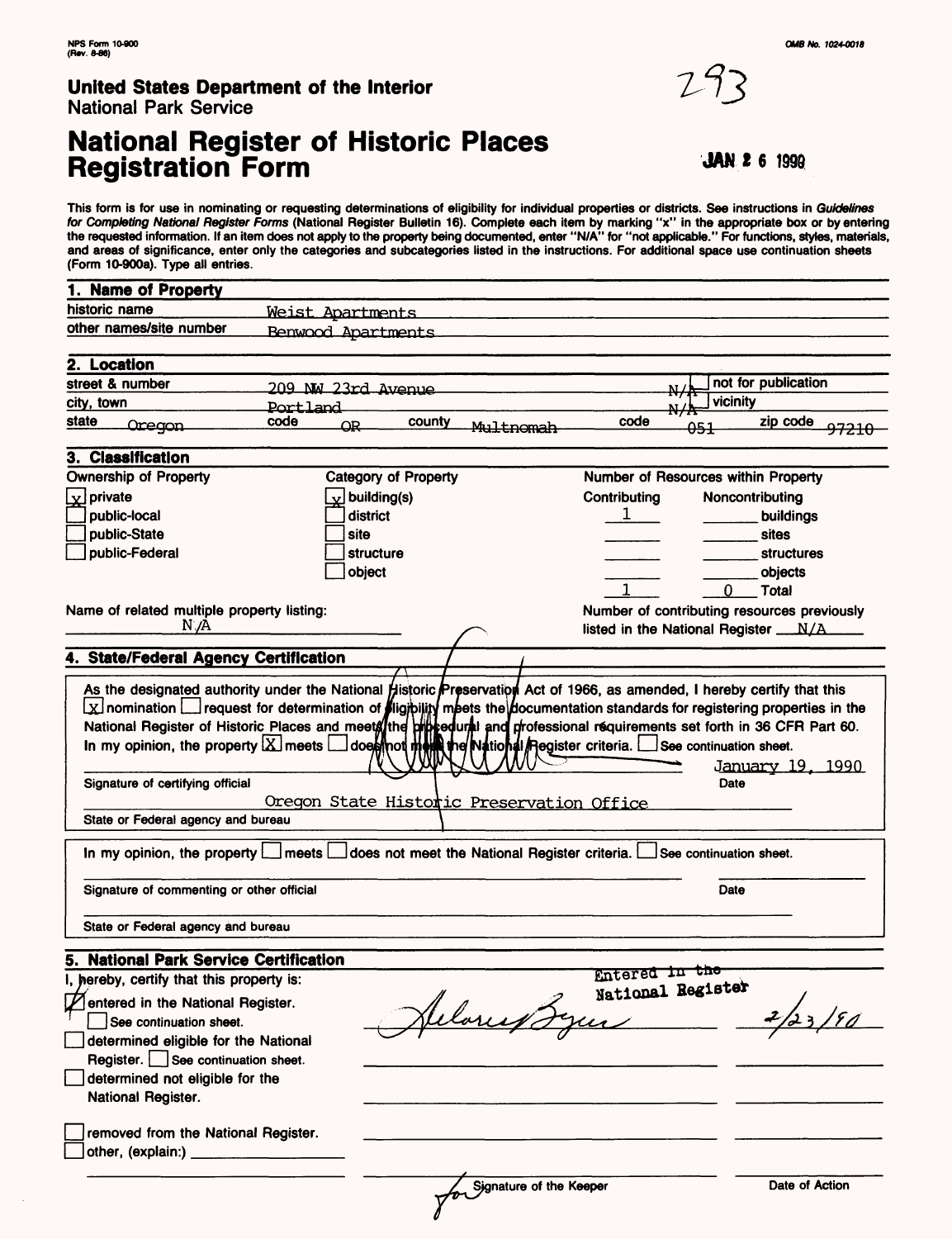$\bar{\alpha}$ 

### **United States Department of the Interior** National Park Service

## **National Register of Historic Places Registration Form JAN 26**

**This form is for use in nominating or requesting determinations of eligibility for individual properties or districts. See instructions in Guidelines for Completing National Register Forms (National Register Bulletin 16). Complete each item by marking "x" in the appropriate box or by entering the requested information. If an item does not apply to the property being documented, enter "N/A" for "not applicable." For functions, styles, materials, and areas of significance, enter only the categories and subcategories listed in the instructions. For additional space use continuation sheets (Form 10-900a). Type all entries.**

| 1. Name of Property                                                                 |                                                                                                                                                                                                                                                                                                                                                                  |                   |                                                                                          |
|-------------------------------------------------------------------------------------|------------------------------------------------------------------------------------------------------------------------------------------------------------------------------------------------------------------------------------------------------------------------------------------------------------------------------------------------------------------|-------------------|------------------------------------------------------------------------------------------|
| historic name                                                                       | Weist Apartments                                                                                                                                                                                                                                                                                                                                                 |                   |                                                                                          |
| other names/site number                                                             | <b>Benwood Apartments</b>                                                                                                                                                                                                                                                                                                                                        |                   |                                                                                          |
|                                                                                     |                                                                                                                                                                                                                                                                                                                                                                  |                   |                                                                                          |
| 2. Location                                                                         |                                                                                                                                                                                                                                                                                                                                                                  |                   |                                                                                          |
| street & number                                                                     | 209 NW 23rd Avenue                                                                                                                                                                                                                                                                                                                                               | N.                | not for publication                                                                      |
| city, town                                                                          | <b>Portland</b>                                                                                                                                                                                                                                                                                                                                                  |                   | vicinity                                                                                 |
| state<br>Oregon                                                                     | code<br>county<br>QR<br>Multnomah                                                                                                                                                                                                                                                                                                                                | code              | zip code<br><del>051</del><br><del>97210</del>                                           |
| 3. Classification                                                                   |                                                                                                                                                                                                                                                                                                                                                                  |                   |                                                                                          |
| <b>Ownership of Property</b>                                                        | <b>Category of Property</b>                                                                                                                                                                                                                                                                                                                                      |                   | Number of Resources within Property                                                      |
| $\vert$ y private                                                                   | $\mathbf{x}$ building(s)                                                                                                                                                                                                                                                                                                                                         | Contributing      | Noncontributing                                                                          |
| public-local                                                                        | district                                                                                                                                                                                                                                                                                                                                                         | ı.                | buildings                                                                                |
| public-State                                                                        | site                                                                                                                                                                                                                                                                                                                                                             |                   | sites                                                                                    |
| public-Federal                                                                      | <b>structure</b>                                                                                                                                                                                                                                                                                                                                                 |                   | <b>structures</b>                                                                        |
|                                                                                     | object                                                                                                                                                                                                                                                                                                                                                           |                   | objects                                                                                  |
|                                                                                     |                                                                                                                                                                                                                                                                                                                                                                  |                   | 0.                                                                                       |
|                                                                                     |                                                                                                                                                                                                                                                                                                                                                                  |                   | <b>Total</b>                                                                             |
| Name of related multiple property listing:<br>N /A                                  |                                                                                                                                                                                                                                                                                                                                                                  |                   | Number of contributing resources previously<br>listed in the National Register __N/A____ |
|                                                                                     |                                                                                                                                                                                                                                                                                                                                                                  |                   |                                                                                          |
| 4. State/Federal Agency Certification                                               |                                                                                                                                                                                                                                                                                                                                                                  |                   |                                                                                          |
|                                                                                     | As the designated authority under the National Historic Preservation Act of 1966, as amended, I hereby certify that this<br>National Register of Historic Places and meets the propedural and professional requirements set forth in 36 CFR Part 60.<br>In my opinion, the property $X$ meets $\Box$ does not meet the National Register criteria. $\Box$ See co |                   | <u> January 19, 1990</u>                                                                 |
| Signature of certifying official<br>State or Federal agency and bureau              | Oregon State Historic Preservation Office                                                                                                                                                                                                                                                                                                                        |                   | Date                                                                                     |
| In my opinion, the property $L$                                                     | does not meet the National Register criteria.<br>l meets L                                                                                                                                                                                                                                                                                                       |                   | See continuation sheet.                                                                  |
| Signature of commenting or other official                                           |                                                                                                                                                                                                                                                                                                                                                                  |                   | Date                                                                                     |
| State or Federal agency and bureau                                                  |                                                                                                                                                                                                                                                                                                                                                                  |                   |                                                                                          |
|                                                                                     |                                                                                                                                                                                                                                                                                                                                                                  |                   |                                                                                          |
| 5. National Park Service Certification<br>I, hereby, certify that this property is: |                                                                                                                                                                                                                                                                                                                                                                  | Entered in the    |                                                                                          |
|                                                                                     |                                                                                                                                                                                                                                                                                                                                                                  | National Register |                                                                                          |
| entered in the National Register.                                                   |                                                                                                                                                                                                                                                                                                                                                                  |                   |                                                                                          |
| See continuation sheet.                                                             |                                                                                                                                                                                                                                                                                                                                                                  |                   |                                                                                          |
| determined eligible for the National                                                |                                                                                                                                                                                                                                                                                                                                                                  |                   |                                                                                          |
| Register. See continuation sheet.                                                   |                                                                                                                                                                                                                                                                                                                                                                  |                   |                                                                                          |
| determined not eligible for the<br>National Register.                               |                                                                                                                                                                                                                                                                                                                                                                  |                   |                                                                                          |
| removed from the National Register.<br>other, (explain:) _____                      |                                                                                                                                                                                                                                                                                                                                                                  |                   |                                                                                          |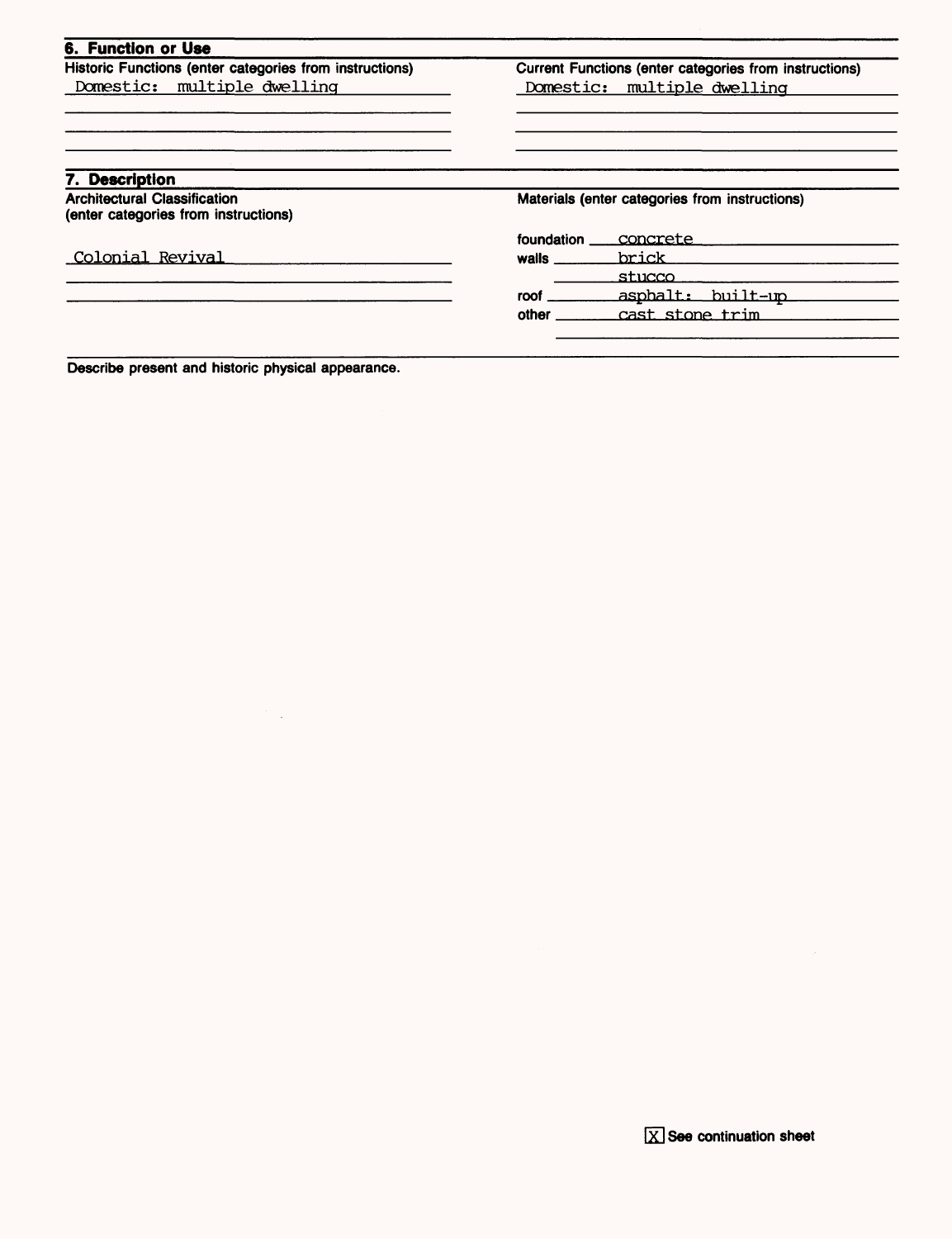| Historic Functions (enter categories from instructions)                     |                                                | Current Functions (enter categories from instructions) |  |
|-----------------------------------------------------------------------------|------------------------------------------------|--------------------------------------------------------|--|
| Domestic: multiple dwelling                                                 |                                                | Domestic: multiple dwelling                            |  |
|                                                                             |                                                |                                                        |  |
|                                                                             |                                                |                                                        |  |
| 7. Description                                                              |                                                |                                                        |  |
| <b>Architectural Classification</b><br>(enter categories from instructions) | Materials (enter categories from instructions) |                                                        |  |
|                                                                             | foundation                                     | concrete                                               |  |
| Colonial Revival                                                            | walls                                          | brick                                                  |  |
|                                                                             |                                                | stucco                                                 |  |
|                                                                             | roof L                                         | asphalt: built-up                                      |  |
|                                                                             |                                                |                                                        |  |

Describe present and historic physical appearance.

 $\mathbb{R}^2$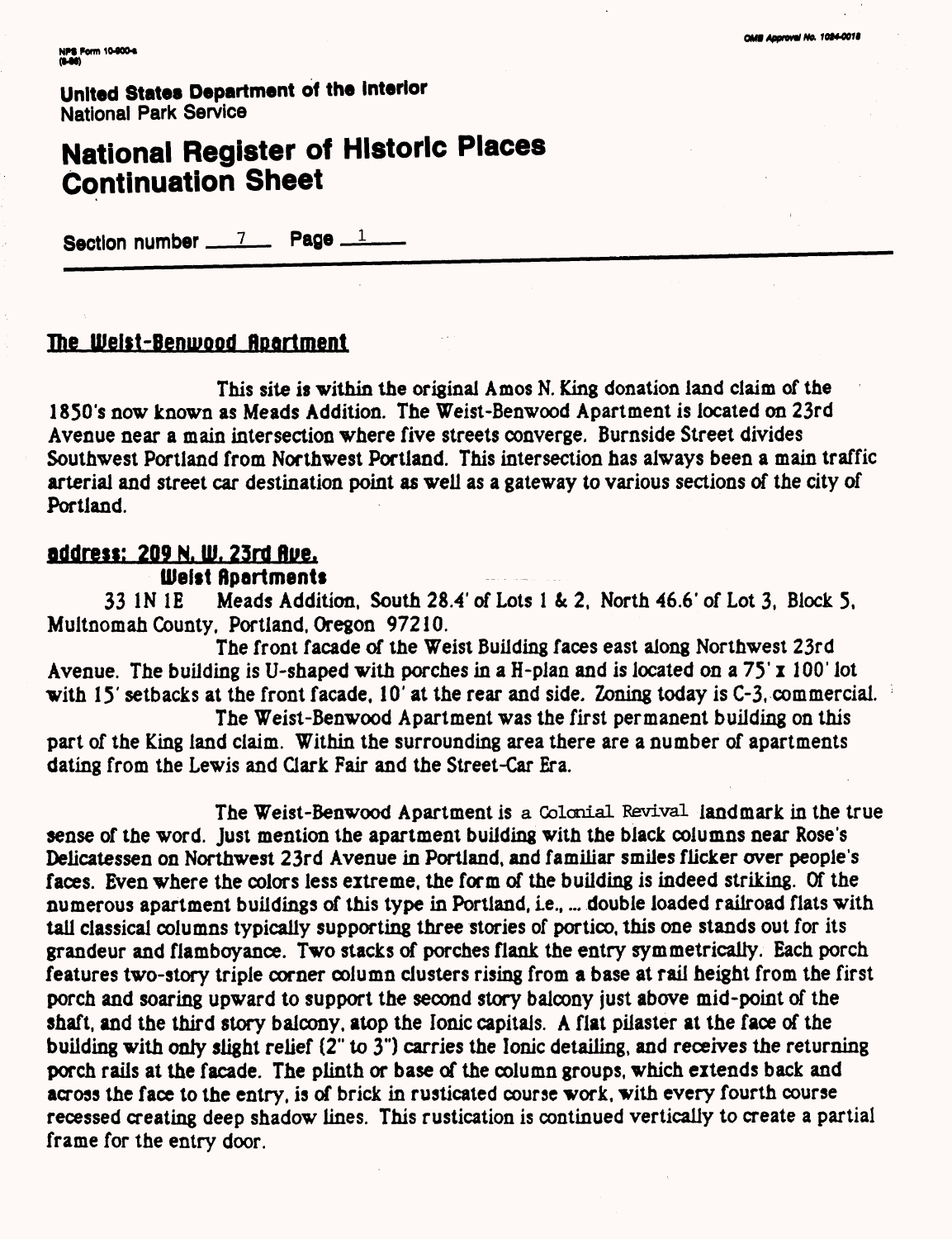# **National Register of Historic Places Continuation Sheet**

Section number  $\frac{7}{2}$  Page  $\frac{1}{2}$ 

### **The UJelst-Benmood flportment**

This site is within the original Amos N. King donation land claim of the 1850's now known as Meads Addition. The Weist-Benwood Apartment is located on 23rd Avenue near a main intersection where five streets converge. Burnside Street divides Southwest Portland from Northwest Portland. This intersection has always been a main traffic arterial and street car destination point as well as a gateway to various sections of the city of Portland.

### **Bddrest: 209 N. ill. 23rd flue. Weist Apartments**

33 IN IE Meads Addition, South 28.4' of Lots 1 & 2, North 46.6' of Lot 3, Block 5, Multnomah County, Portland, Oregon 97210.

The front facade of the Weist Building faces east along Northwest 23rd Avenue. The building is U-shaped with porches in a H-plan and is located on a  $75'$  x 100' lot with 15' setbacks at the front facade, 10' at the rear and side. Zoning today is C-3, commercial.

The Weist-Benwood Apartment was the first permanent building on this part of the King land claim. Within the surrounding area there are a number of apartments dating from the Lewis and Clark Fair and the Street-Car Era.

The Weist-Benwood Apartment is a Colonial Revival landmark in the true sense of the word. Just mention the apartment building with the black columns near Rose's Delicatessen on Northwest 23rd Avenue in Portland, and familiar smiles flicker over people's faces. Even where the colors less extreme, the form of the building is indeed striking. Of the numerous apartment buildings of this type in Portland, i.e., ... double loaded railroad flats with tall classical columns typically supporting three stories of portico, this one stands out for its grandeur and flamboyance. Two stacks of porches flank the entry symmetrically. Bach porch features two-story triple corner column clusters rising from a base at rail height from the first porch and soaring upward to support the second story balcony just above mid-point of the shaft, and the third story balcony, atop the Ionic capitals. A flat pilaster at the face of the building with only slight relief (2" to 3") carries the Ionic detailing, and receives the returning porch rails at the facade. The plinth or base of the column groups, which extends back and across the face to the entry, is of brick in rusticated course work, with every fourth course recessed creating deep shadow lines. This rustication is continued vertically to create a partial frame for the entry door.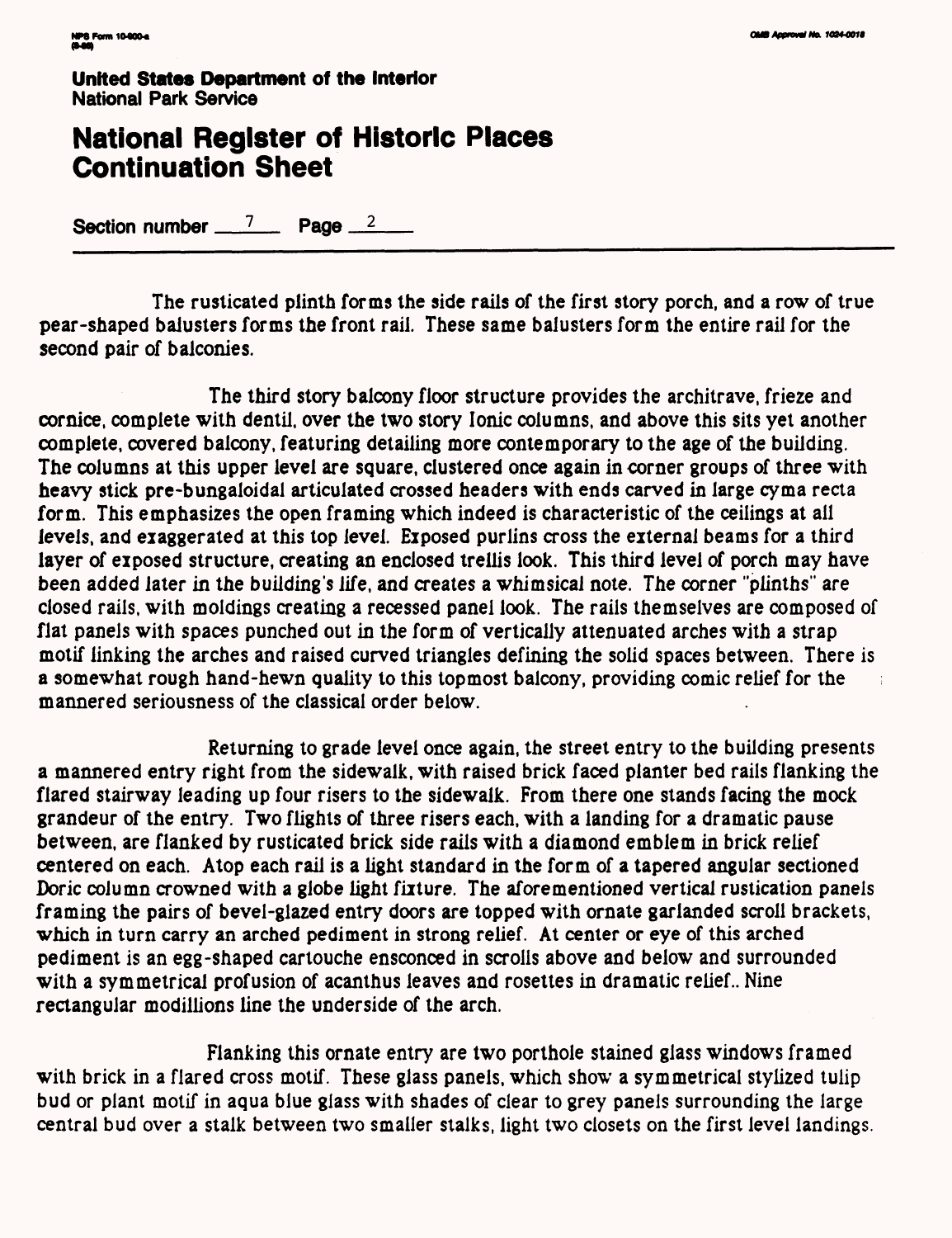## **National Register of Historic Places Continuation Sheet**

Section number  $\frac{7}{2}$  Page  $\frac{2}{2}$ 

The rusticated plinth forms the side rails of the first story porch, and a row of true pear-shaped balusters forms the front rail. These same balusters form the entire rail for the second pair of balconies.

The third story balcony floor structure provides the architrave, frieze and cornice, complete with dentil, over the two story Ionic columns, and above this sits yet another complete, covered balcony, featuring detailing more contemporary to the age of the building. The columns at this upper level are square, clustered once again in corner groups of three with heavy stick pre-bungaloidal articulated crossed headers with ends carved in large cyma recta form. This emphasizes the open framing which indeed is characteristic of the ceilings at ail levels, and exaggerated at this top level. Exposed purlins cross the external beams for a third layer of exposed structure, creating an enclosed trellis look. This third level of porch may have been added later in the building's life, and creates a whimsical note. The corner "plinths" are closed rails, with moldings creating a recessed panel look. The rails themselves are composed of flat panels with spaces punched out in the form of vertically attenuated arches with a strap motif linking the arches and raised curved triangles defining the solid spaces between. There is a somewhat rough hand-hewn quality to this topmost balcony, providing comic relief for the  $\frac{1}{3}$ mannered seriousness of the classical order below.

Returning to grade level once again, the street entry to the building presents a mannered entry right from the sidewalk, with raised brick faced planter bed rails flanking the flared stairway leading up four risers to the sidewalk. From there one stands facing the mock grandeur of the entry. Two flights of three risers each, with a landing for a dramatic pause between, are flanked by rusticated brick side rails with a diamond emblem in brick relief centered on each. Atop each rail is a light standard in the form of a tapered angular sectioned Doric column crowned with a globe light fixture. The aforementioned vertical rustication panels framing the pairs of bevel-glazed entry doors are topped with ornate garlanded scroll brackets, which in turn carry an arched pediment in strong relief. At center or eye of this arched pediment is an egg-shaped cartouche ensconced in scrolls above and below and surrounded with a symmetrical profusion of acanthus leaves and rosettes in dramatic relief.. Nine rectangular modillions line the underside of the arch.

Flanking this ornate entry are two porthole stained glass windows framed with brick in a flared cross motif. These glass panels, which show a symmetrical stylized tulip bud or plant motif in aqua blue glass with shades of clear to grey panels surrounding the large central bud over a stalk between two smaller stalks, light two closets on the first level landings.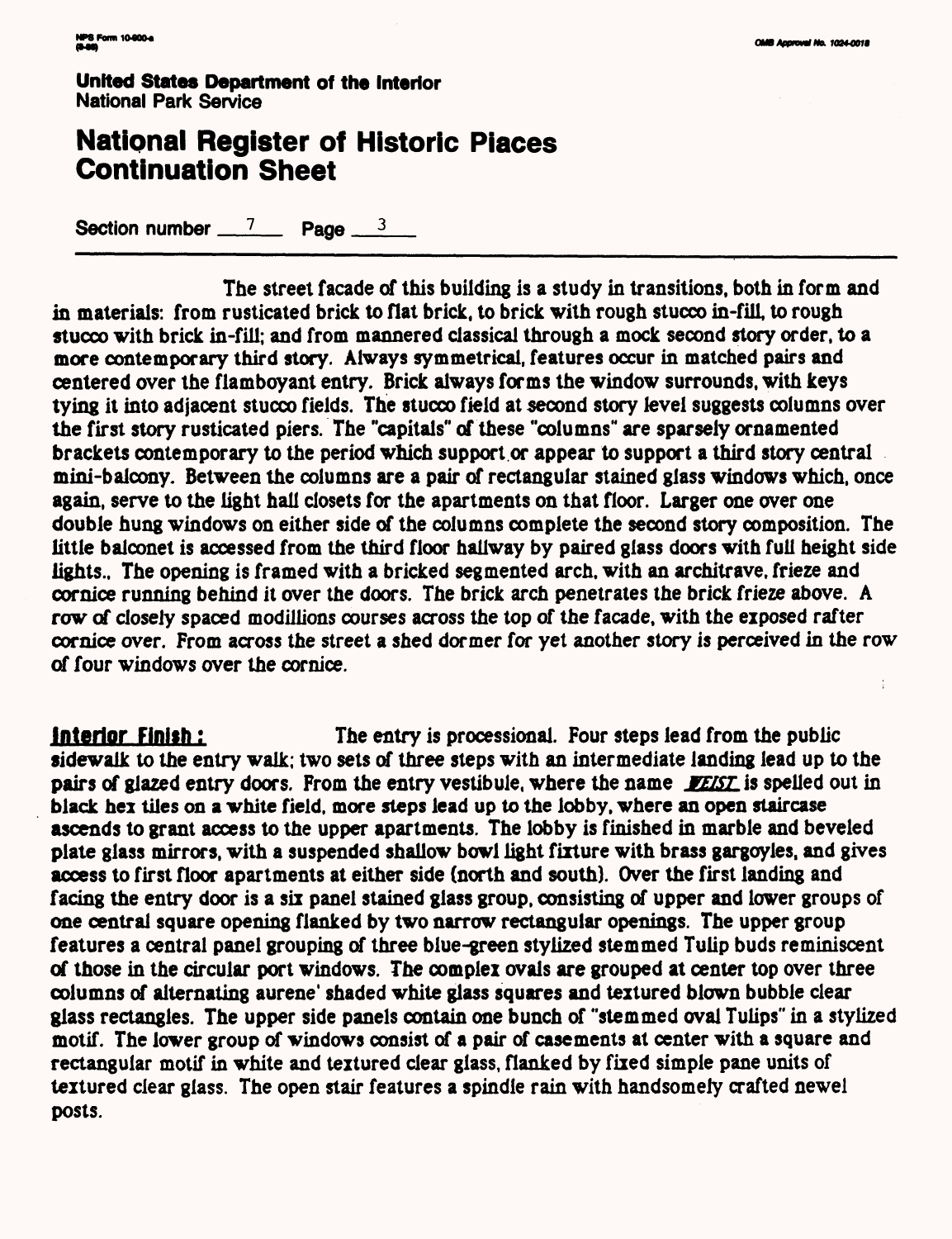## **National Register of Historic Places Continuation Sheet**

Section number  $\frac{7}{2}$  Page  $\frac{3}{2}$ 

The street facade of this building is a study in transitions, both in form and in materials: from rusticated brick to flat brick, to brick with rough stucco in-filL to rough stucco with brick in-fill; and from mannered classical through a mock second story order, to a more contemporary third story. Always symmetrical, features occur in matched pairs and centered over the flamboyant entry. Brick always forms the window surrounds, with keys tying it into adjacent stucco fields. The stucco field at second story level suggests columns over the first story rusticated piers. The "capitals" of these "columns" are sparsely ornamented brackets contemporary to the period which support or appear to support a third story central mini-balcony. Between the columns are a pair of rectangular stained glass windows which, once again, serve to the light hall closets for the apartments on that floor. Larger one over one double hung windows on either side of the columns complete the second story composition. The little balconet is accessed from the third floor hallway by paired glass doors with full height side lights.. The opening is framed with a bricked segmented arch, with an architrave, frieze and cornice running behind it over the doors. The brick arch penetrates the brick frieze above. A row of closely spaced modillions courses across the top of the facade, with the exposed rafter cornice over. From across the street a shed dormer for yet another story is perceived in the row of four windows over the cornice.

**interior Finish:** The entry is processional. Four steps lead from the public sidewalk to the entry walk; two sets of three steps with an intermediate landing lead up to the pairs of glazed entry doors. From the entry vestibule, where the name *WETST* is spelled out in black hex tiles on a white field, more steps lead up to the lobby, where an open staircase ascends to grant access to the upper apartments. The lobby is finished in marble and beveled plate glass mirrors, with a suspended shallow bowl light fixture with brass gargoyles, and gives access to first floor apartments at either side (north and south). Over the first landing and facing the entry door is a six panel stained glass group, consisting of upper and lower groups of one central square opening flanked by two narrow rectangular openings. The upper group features a central panel grouping of three blue-green stylized stemmed Tulip buds reminiscent of those in the circular port windows. The complex ovals are grouped at center top over three columns of alternating aurene' shaded white glass squares and textured blown bubble clear glass rectangles. The upper side panels contain one bunch of "stemmed oval Tulips" in a stylized motif. The lower group of windows consist of a pair of casements at center with a square and rectangular motif in white and textured clear glass, flanked by fixed simple pane units of textured clear glass. The open stair features a spindle rain with handsomely crafted newel posts.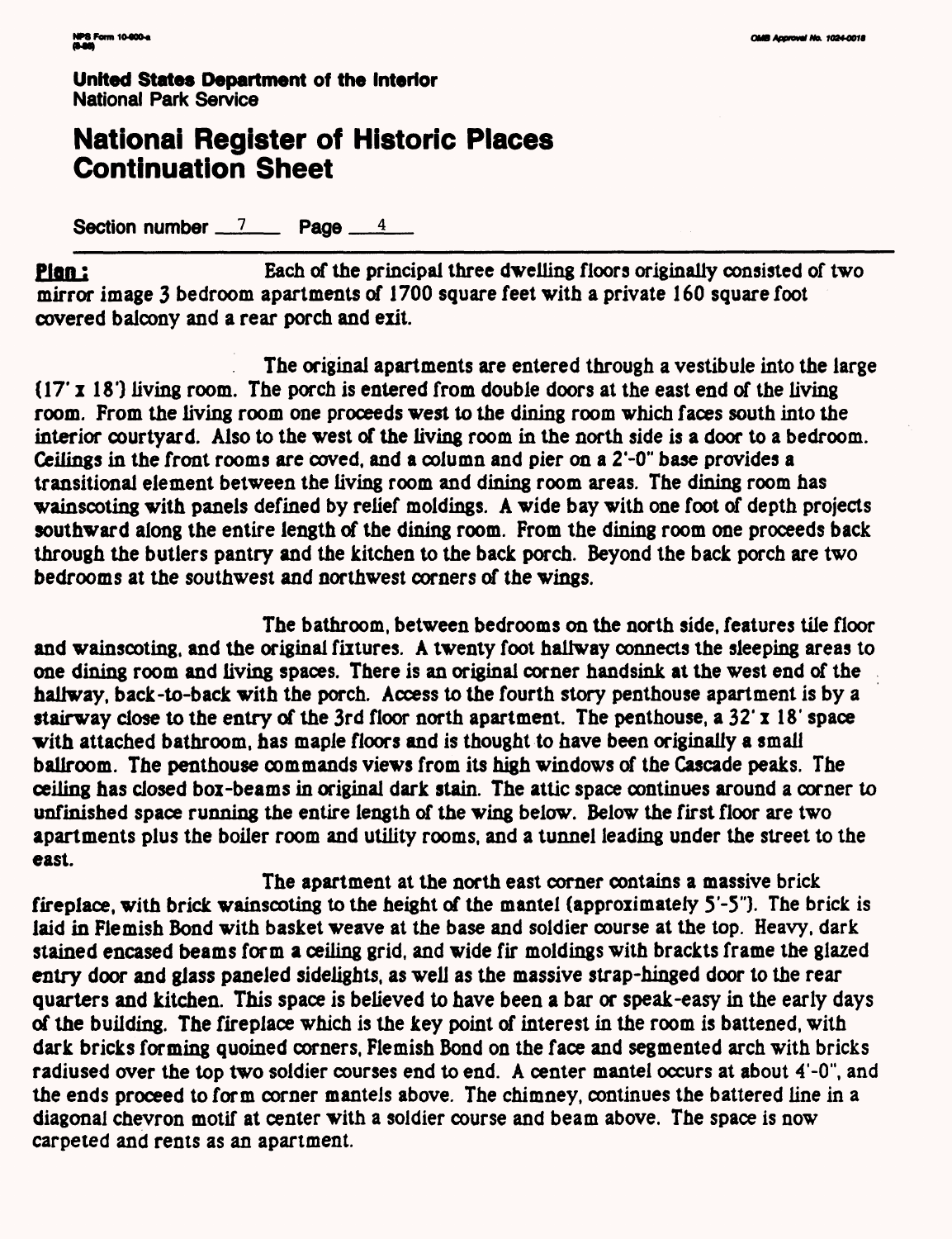## **National Register of Historic Places Continuation Sheet**

**Section number 7 Page 4** 

**Plan:** Each of the principal three dwelling floors originally consisted of two mirror image 3 bedroom apartments of 1700 square feet with a private 160 square foot covered balcony and a rear porch and exit.

The original apartments are entered through a vestibule into the large  $(17' x 18')$  living room. The porch is entered from double doors at the east end of the living room. From the living room one proceeds west to the dining room which faces south into the interior courtyard. Also to the west of the living room in the north side is a door to a bedroom. Ceilings in the front rooms are coved, and a column and pier on a 2'-0" base provides a transitional element between the living room and dining room areas. The dining room has wainscoting with panels defined by relief moldings. A wide bay with one foot of depth projects southward along the entire length of the dining room. From the dining room one proceeds back through the butlers pantry and the kitchen to the back porch. Beyond the back porch are two bedrooms at the southwest and northwest corners of the wings.

The bathroom, between bedrooms on the north side, features tile floor and wainscoting, and the original fixtures. A twenty foot hallway connects the sleeping areas to one dining room and living spaces. There is an original corner handsink at the west end of the hallway, back-to-back with the porch. Access to the fourth story penthouse apartment is by a stairway close to the entry of the 3rd floor north apartment. The penthouse, a 32' x 18' space with attached bathroom, has maple floors and is thought to have been originally a small ballroom. The penthouse commands views from its high windows of the Cascade peaks. The ceiling has closed box -beams in original dark stain. The attic space continues around a corner to unfinished space running the entire length of the wing below. Below the first floor are two apartments plus the boiler room and utility rooms, and a tunnel leading under the street to the east.

The apartment at the north east corner contains a massive brick fireplace, with brick wainscoting to the height of the mantel (approximately 5'-5"). The brick is laid in Flemish Bond with basket weave at the base and soldier course at the top. Heavy, dark stained encased beams form a ceiling grid, and wide fir moldings with brackts frame the glazed entry door and glass paneled sidelights, as well as the massive strap-hinged door to the rear quarters and kitchen. This space is believed to have been a bar or speak-easy in the early days of the building. The fireplace which is the key point of interest in the room is battened, with dark bricks forming quoined corners, Flemish Bond on the face and segmented arch with bricks radiused over the top two soldier courses end to end. A center mantel occurs at about 4'-0", and the ends proceed to form corner mantels above. The chimney, continues the battered line in a diagonal chevron motif at center with a soldier course and beam above. The space is now carpeted and rents as an apartment.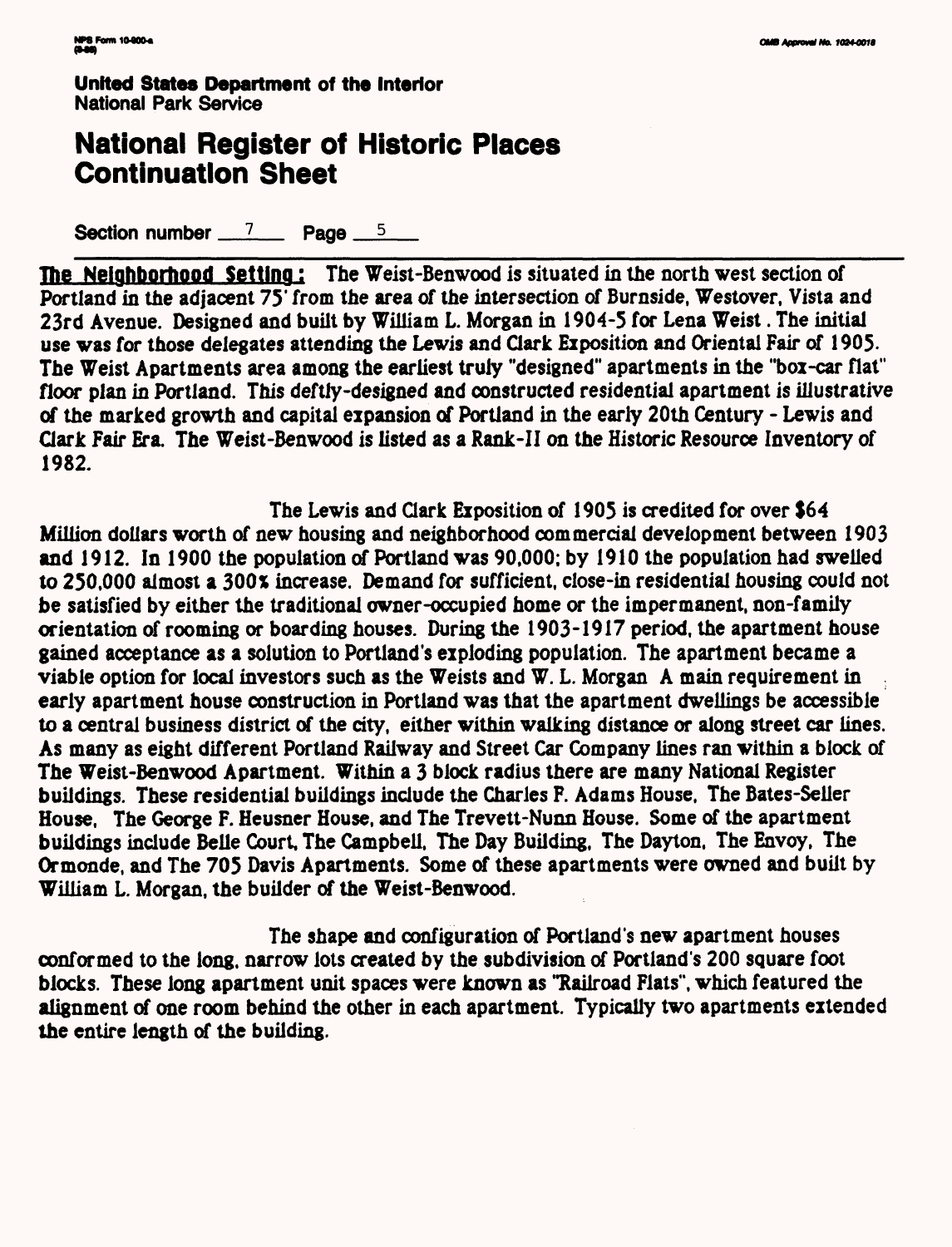## **National Register of Historic Places Continuation Sheet**

Section number  $\frac{7}{2}$  Page  $\frac{5}{2}$ 

The Neighborhood Setting: The Weist-Benwood is situated in the north west section of Portland in the adjacent 75' from the area of the intersection of Burnside, Westover, Vista and 23rd Avenue. Designed and built by William L. Morgan in 1904-5 for Lena Weist. The initial use was for those delegates attending the Lewis and Clark Exposition and Oriental Fair of 1905. The Weist Apartments area among the earliest truly "designed" apartments in the "box-car flat" floor plan in Portland. This deftly-designed and constructed residential apartment is illustrative of the marked growth and capital expansion of Portland in the early 20th Century - Lewis and Gark Fair Era. The Weist-Benwood is listed as a Rank-II on the Historic Resource Inventory of 1982.

The Lewis and Qark Exposition of 1905 is credited for over \$64 Million dollars worth of new housing and neighborhood commercial development between 1903 and 1912. In 1900 the population of Portland was 90,000; by 1910 the population had swelled to 250,000 almost a 300% increase. Demand for sufficient, close-in residential housing could not be satisfied by either the traditional owner-occupied home or the impermanent, non-family orientation of rooming or boarding houses. During the 1903-1917 period, the apartment house gained acceptance as a solution to Portland's exploding population. The apartment became a viable option for local investors such as the Weists and W. L. Morgan A main requirement in early apartment house construction in Portland was that the apartment dwellings be accessible to a central business district of the city, either within walking distance or along street car lines. As many as eight different Portland Railway and Street Car Company lines ran within a block of The Weist-Benwood Apartment. Within a 3 block radius there are many National Register buildings. These residential buildings include the Charles F. Adams House, The Bates-Seller House, The George F. Heusner House, and The Trevett-Nunn House. Some of the apartment buildings include Belle Court. The Campbell. The Day Building, The Dayton, The Envoy, The Ormonde, and The 705 Davis Apartments. Some of these apartments were owned and built by William L. Morgan, the builder of the Weist-Benwood.

The shape and configuration of Portland's new apartment houses conformed to the long, narrow lots created by the subdivision of Portland's 200 square foot blocks. These long apartment unit spaces were known as "Railroad Flats", which featured the alignment of one room behind the other in each apartment. Typically two apartments extended the entire length of the building.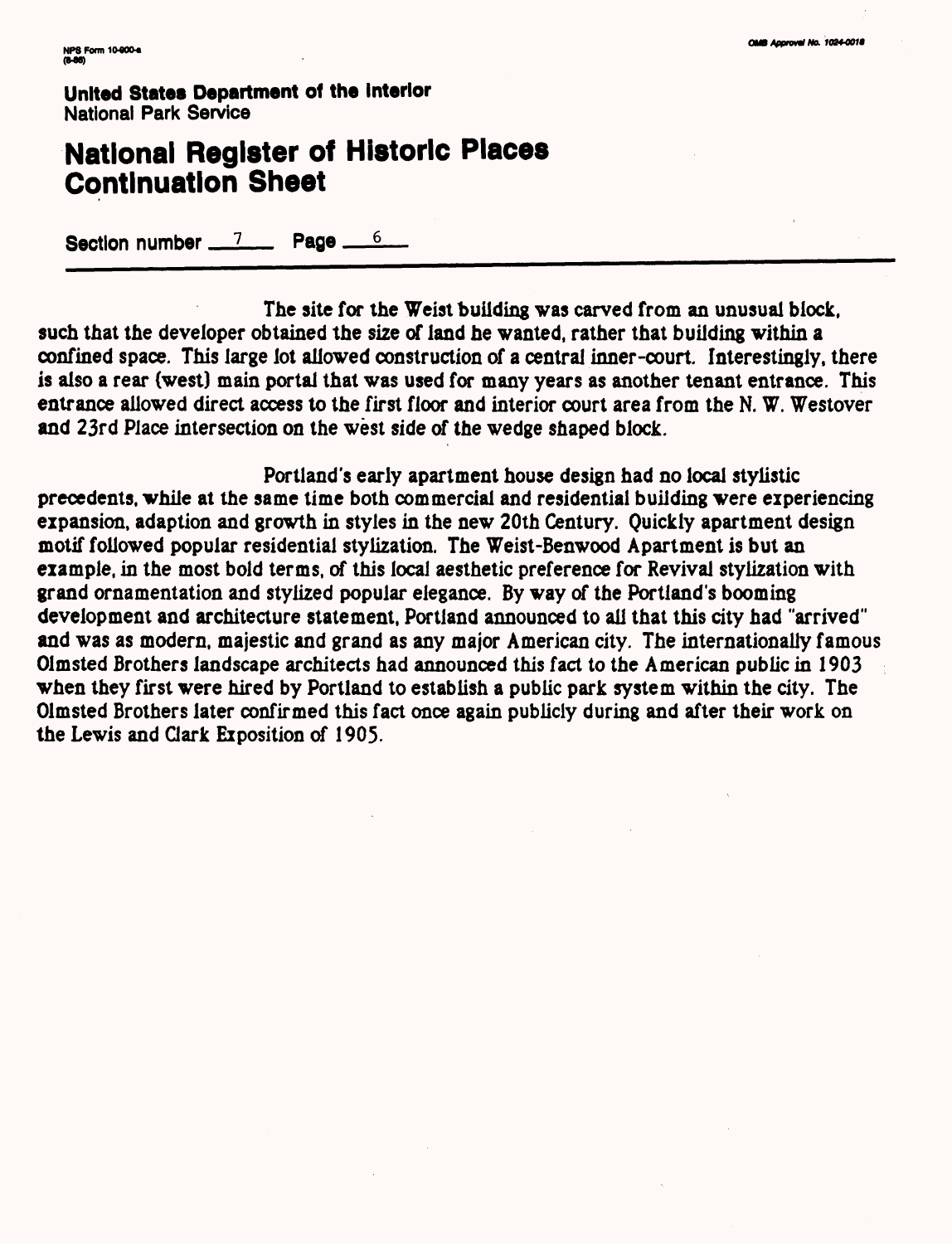## **National Register of Historic Places Continuation Sheet**

Section number  $\frac{7}{2}$  Page  $\frac{6}{2}$ 

The site for the Weist building was carved from an unusual block, such that the developer obtained the size of land he wanted, rather that building within a confined space. This large lot allowed construction of a central inner-court. Interestingly, there is also a rear (west) main portal that was used for many years as another tenant entrance. This entrance allowed direct access to the first floor and interior court area from the N. W. Westover and 23rd Place intersection on the west side of the wedge shaped block.

Portland's early apartment house design had no local stylistic precedents, while at the same time both commercial and residential building were experiencing expansion, adaption and growth in styles in the new 20th Century. Quickly apartment design motif followed popular residential stylization. The Weist-Benwood Apartment is but an example, in the most bold terms, of this local aesthetic preference for Revival stylization with grand ornamentation and stylized popular elegance. By way of the Portland's booming development and architecture statement, Portland announced to all that this city had "arrived" and was as modern, majestic and grand as any major American city. The internationally famous Olmsted Brothers landscape architects had announced this fact to the American public in 1903 when they first were hired by Portland to establish a public park system within the city. The Olmsted Brothers later confirmed this fact once again publicly during and after their work on the Lewis and Clark Exposition of 1905.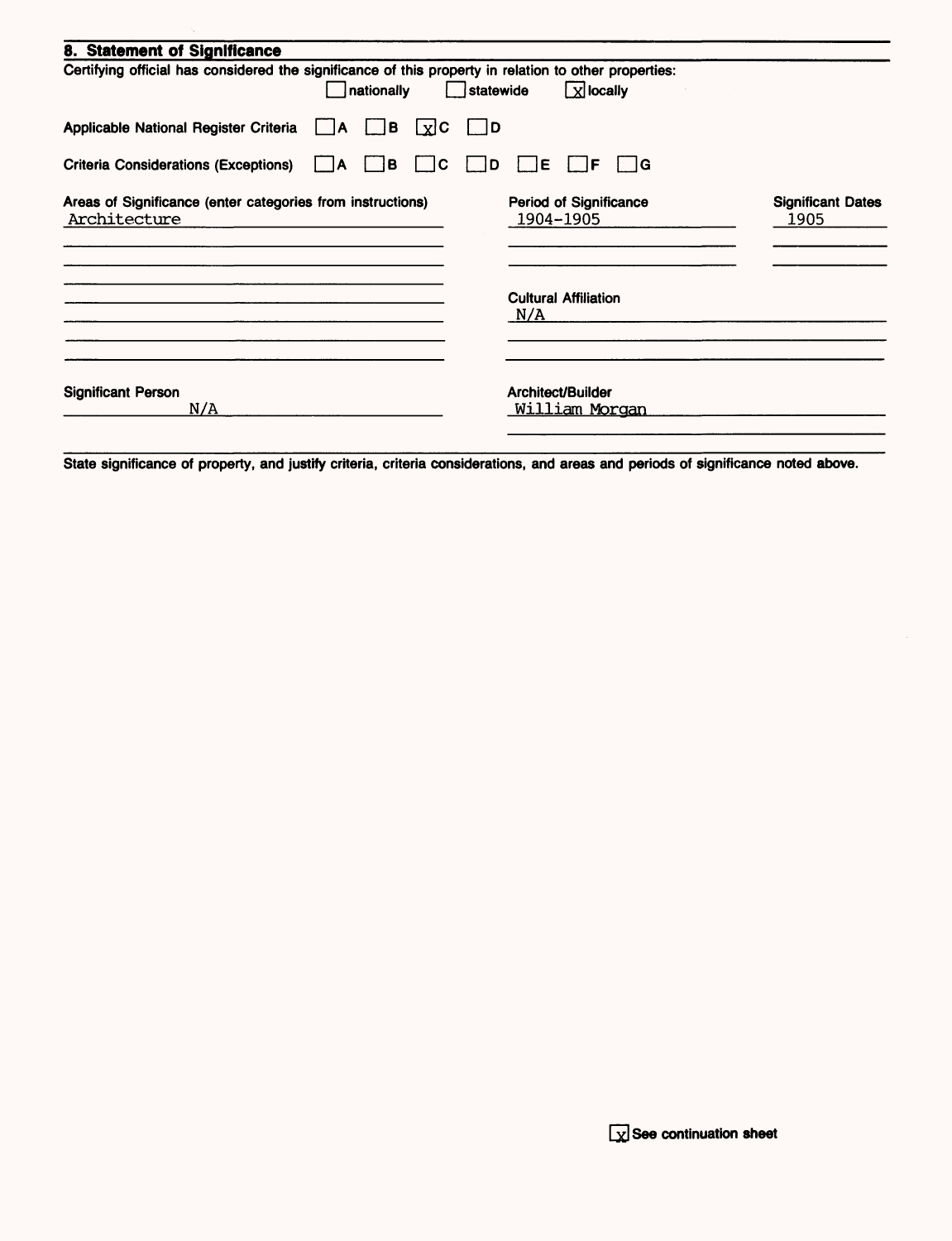| 8. Statement of Significance                                                                                        |                                            |                                  |
|---------------------------------------------------------------------------------------------------------------------|--------------------------------------------|----------------------------------|
| Certifying official has considered the significance of this property in relation to other properties:<br>nationally | $x$ locally<br>statewide                   |                                  |
| Applicable National Register Criteria   A<br>$\vert$ $\vert$ B<br>$\lfloor x \rfloor$ C                             | $\vert$ $\vert$ D                          |                                  |
| Criteria Considerations (Exceptions) A<br>B<br>lC.                                                                  | ∣ IG<br>IE.<br>١D<br>IF                    |                                  |
| Areas of Significance (enter categories from instructions)<br>Architecture                                          | <b>Period of Significance</b><br>1904-1905 | <b>Significant Dates</b><br>1905 |
|                                                                                                                     | <b>Cultural Affiliation</b><br>N/A         |                                  |
| <b>Significant Person</b><br>N/A                                                                                    | Architect/Builder<br>William Morgan        |                                  |

State significance of property, and justify criteria, criteria considerations, and areas and periods of significance noted above.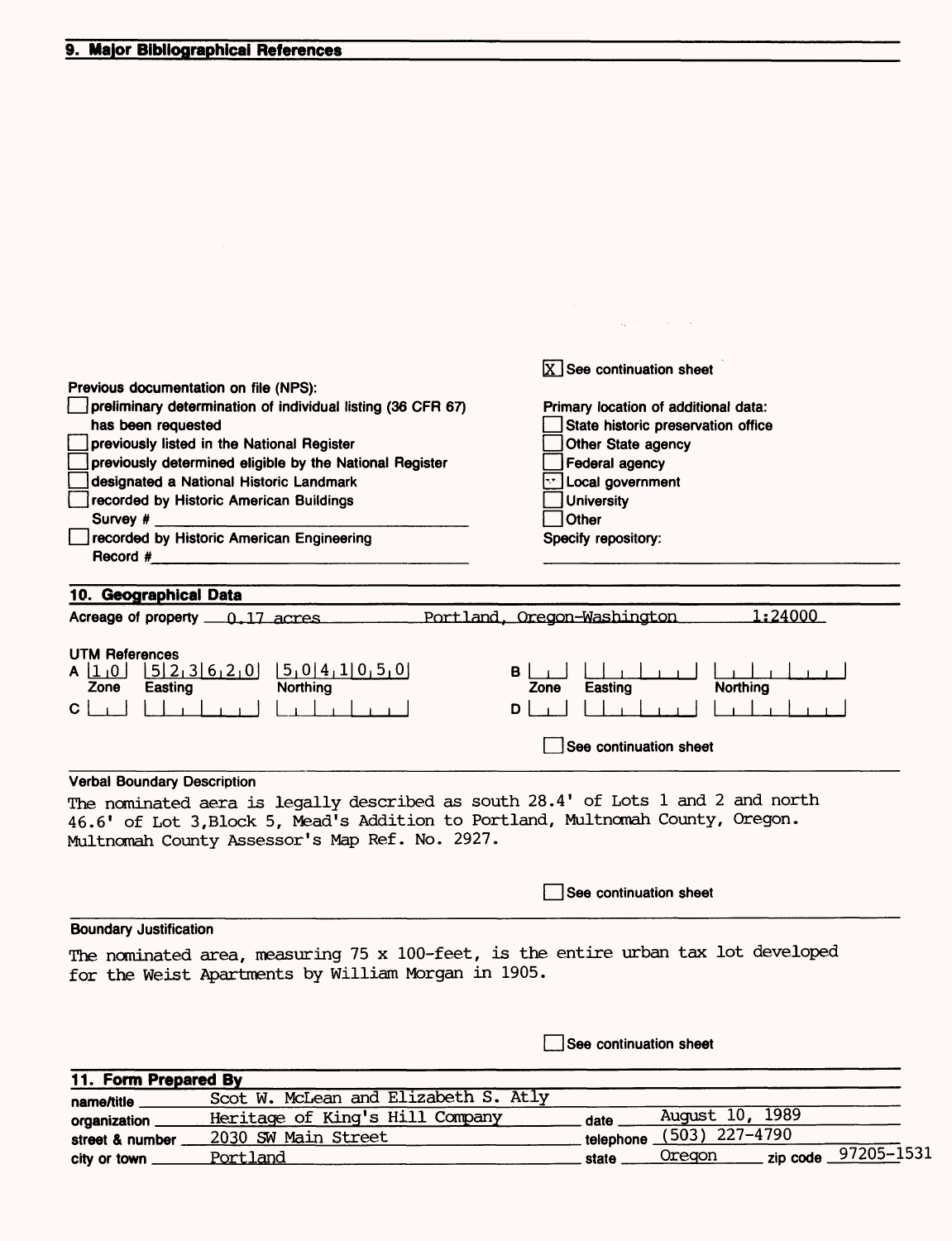|                                                                                                                                                                                                                                                                                                                                                                                                                                                      | $X$ See continuation sheet                                                                                                                                                                            |  |  |
|------------------------------------------------------------------------------------------------------------------------------------------------------------------------------------------------------------------------------------------------------------------------------------------------------------------------------------------------------------------------------------------------------------------------------------------------------|-------------------------------------------------------------------------------------------------------------------------------------------------------------------------------------------------------|--|--|
| Previous documentation on file (NPS):<br>preliminary determination of individual listing (36 CFR 67)<br>has been requested<br>previously listed in the National Register<br>previously determined eligible by the National Register<br>designated a National Historic Landmark<br>recorded by Historic American Buildings<br>Survey #<br>recorded by Historic American Engineering<br>Record #<br><u> 1980 - John Stein, Amerikaansk politiker (</u> | Primary location of additional data:<br>State historic preservation office<br>Other State agency<br><b>Federal agency</b><br>Dividing Jovernment<br><b>University</b><br>Other<br>Specify repository: |  |  |
| 10. Geographical Data                                                                                                                                                                                                                                                                                                                                                                                                                                |                                                                                                                                                                                                       |  |  |
| Acreage of property 6, 17 acres                                                                                                                                                                                                                                                                                                                                                                                                                      | 1:24000<br>Portland, Oregon-Washington                                                                                                                                                                |  |  |
| <b>UTM References</b><br>[5,0]4,1]0,5,0]<br>$[5]$ 2, 3 6, 2, 0<br>A 11 10 1<br>Northing<br>Zone<br>Easting<br>$\mathsf{C}$                                                                                                                                                                                                                                                                                                                           | в<br><b>Northing</b><br>Easting<br>Zone<br>D<br>See continuation sheet                                                                                                                                |  |  |
| <b>Verbal Boundary Description</b>                                                                                                                                                                                                                                                                                                                                                                                                                   |                                                                                                                                                                                                       |  |  |
| The nominated aera is legally described as south 28.4' of Lots 1 and 2 and north<br>46.6' of Lot 3, Block 5, Mead's Addition to Portland, Multnomah County, Oregon.<br>Multnomah County Assessor's Map Ref. No. 2927.                                                                                                                                                                                                                                |                                                                                                                                                                                                       |  |  |
|                                                                                                                                                                                                                                                                                                                                                                                                                                                      | See continuation sheet                                                                                                                                                                                |  |  |
| <b>Boundary Justification</b>                                                                                                                                                                                                                                                                                                                                                                                                                        |                                                                                                                                                                                                       |  |  |
| The nominated area, measuring 75 x 100-feet, is the entire urban tax lot developed<br>for the Weist Apartments by William Morgan in 1905.                                                                                                                                                                                                                                                                                                            |                                                                                                                                                                                                       |  |  |
|                                                                                                                                                                                                                                                                                                                                                                                                                                                      | See continuation sheet                                                                                                                                                                                |  |  |

 $\label{eq:2.1} \mathcal{L}_{\mathbf{A}} = \mathcal{L}_{\mathbf{A}} \left( \mathcal{L}_{\mathbf{A}} \right) \left( \mathcal{L}_{\mathbf{A}} \right) \left( \mathcal{L}_{\mathbf{A}} \right)$ 

| 11. Form Prepared By |                                      |       |                          |                      |
|----------------------|--------------------------------------|-------|--------------------------|----------------------|
| name/title           | Scot W. McLean and Elizabeth S. Atly |       |                          |                      |
| organization         | Heritage of King's Hill Company      | date  | August 10, 1989          |                      |
| street & number      | 2030 SW Main Street                  |       | telephone (503) 227-4790 |                      |
| city or town         | Portland                             | state | Oregon                   | zip code _97205-1531 |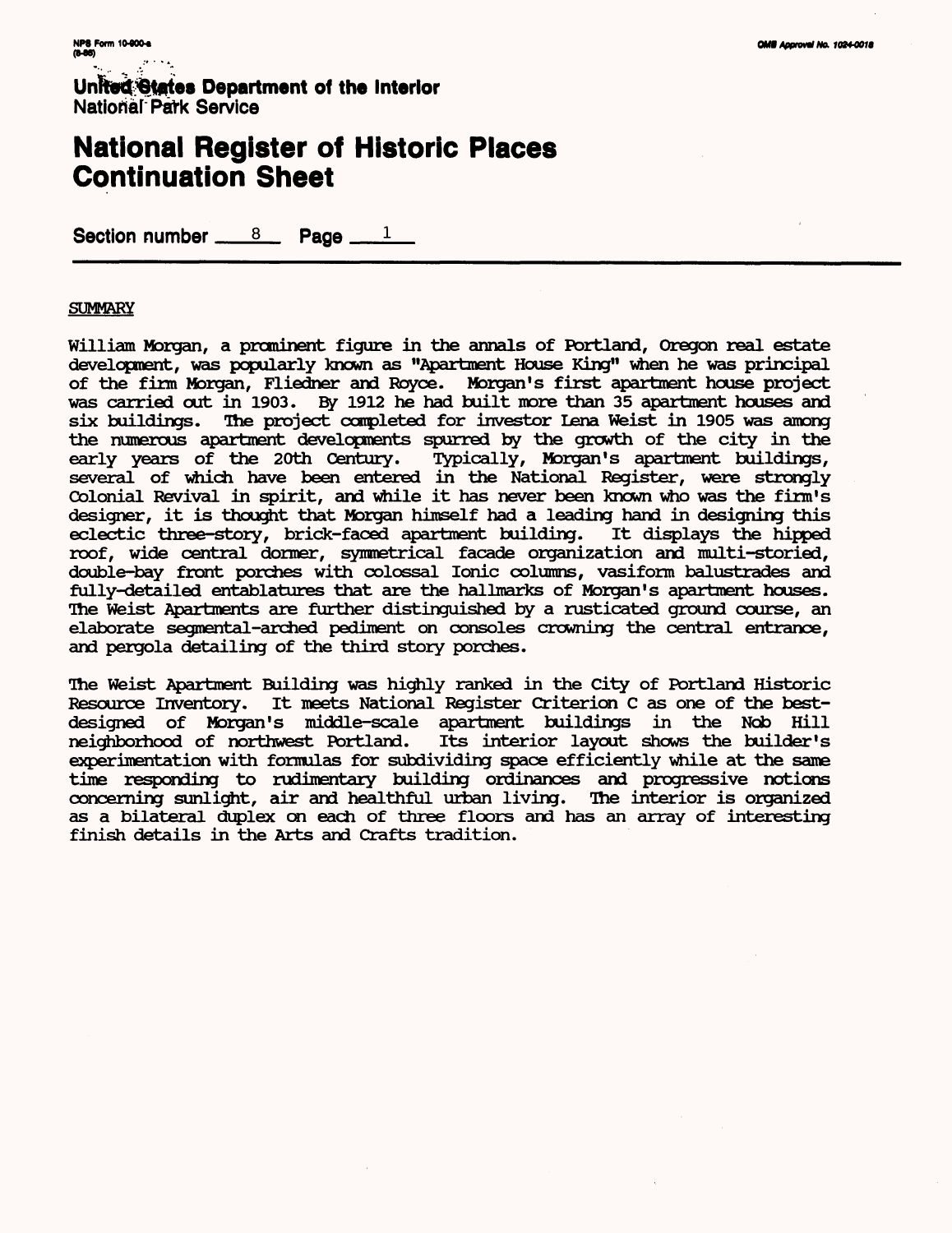## **National Register of Historic Places Continuation Sheet**

Section number  $8 \times 8$  Page  $\mathbf{1}$ 

#### **SUMMARY**

William Morgan, a prominent figure in the annals of Portland, Oregon real estate development, was popularly known as "Apartment House King" when he was principal of the firm Morgan, Fliedner and Payee. Morgan's first apartment house project was carried out in 1903. By 1912 he had built more than 35 apartment houses and six buildings. The project completed for investor Lena Weist in 1905 was among the numerous apartment developments spurred by the growth of the city in the early years of the 20th Century. Typically, Morgan's apartment buildings, several of which have been entered in the National Register, were strongly Colonial Revival in spirit, and while it has never been known who was the firm's designer, it is thought that Morgan himself had a leading hand in designing this eclectic three-story, brick-faced apartment building. It displays the hipped roof, wide central dormer, symmetrical facade organization and multi-storied, double-bay front porches with colossal Ionic columns, vasiform balustrades and fully-detailed entablatures that are the hallmarks of Morgan's apartment houses. The Weist Apartments are further distinguished by a rusticated ground course, an elaborate segmental-arched pediment on consoles crowning the central entrance, and pergola detailing of the third story porches.

The Weist Apartment Building was highly ranked in the City of Portland Historic Resource Inventory. It meets National Register Criterion C as one of the bestdesigned of Morgan's middle-scale apartment buildings in the Nob Hill neighborhood of northwest Portland. Its interior layout shows the builder's experimentation with formulas for subdividing space efficiently while at the same time responding to rudimentary building ordinances and progressive notions concerning sunlight, air and healthful urban living. The interior is organized as a bilateral duplex on each of three floors and has an array of interesting finish details in the Arts and Crafts tradition.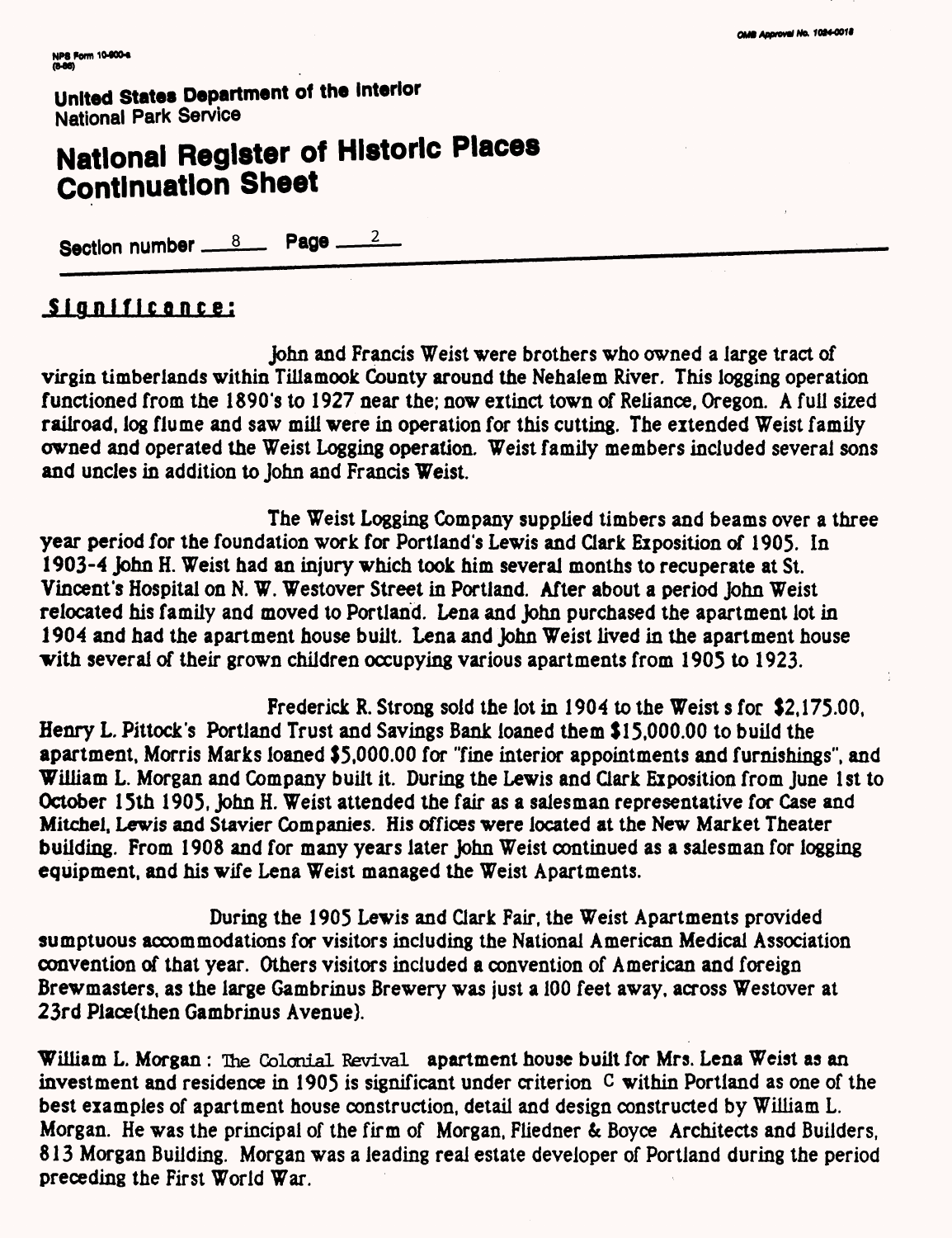# National Register of Historic Places **Continuation Sheet**

Section number 6 18 Page 2

## **Significance;**

John and Francis Weist were brothers who owned a large tract of virgin timberiands within Tillamook County around the Nehalem River. This logging operation functioned from the 1890's to 1927 near the; now extinct town of Reliance. Oregon. A full sized railroad, log flume and saw mill were in operation for this cutting. The extended Weist family owned and operated the Weist Logging operation. Weist family members included several sons and uncles in addition to John and Francis Weist.

The Weist Logging Company supplied timbers and beams over a three year period for the foundation work for Portland's Lewis and Clark Exposition of 1905. In 1903-4 John H. Weist had an injury which took him several months to recuperate at St. Vincent's Hospital on N. W. Westover Street in Portland. After about a period John Weist relocated his family and moved to Portland. Lena and John purchased the apartment lot in 1904 and had the apartment house built. Lena and John Weist lived in the apartment house with several of their grown children occupying various apartments from 1905 to 1923.

Frederick R. Strong sold the lot in 1904 to the Weist s for \$2,175.00, Henry L. Pittock's Portland Trust and Savings Bank loaned them \$15,000.00 to build the apartment, Morris Marks loaned \$5,000.00 for "fine interior appointments and furnishings", and William L. Morgan and Company built it. During the Lewis and Clark Exposition from June 1st to October 15th 1905, John H. Weist attended the fair as a salesman representative for Case and Mitchel, Lewis and Stavier Companies. His offices were located at the New Market Theater building. From 1908 and for many years later John Weist continued as a salesman for logging equipment, and his wife Lena Weist managed the Weist Apartments.

During the 1905 Lewis and dark Fair, the Weist Apartments provided sumptuous accommodations for visitors including the National American Medical Association convention of that year. Others visitors included a convention of American and foreign Brewmasters, as the large Gambrinus Brewery was just a 100 feet away, across Westover at 23rd Place(then Gambrinus Avenue).

William L. Morgan: The Colonial Revival apartment house built for Mrs. Lena Weist as an investment and residence in 1905 is significant under criterion C within Portland as one of the best examples of apartment house construction, detail and design constructed by William L. Morgan. He was the principal of the firm of Morgan, Fliedner & Boyce Architects and Builders, 813 Morgan Building. Morgan was a leading real estate developer of Portland during the period preceding the First World War.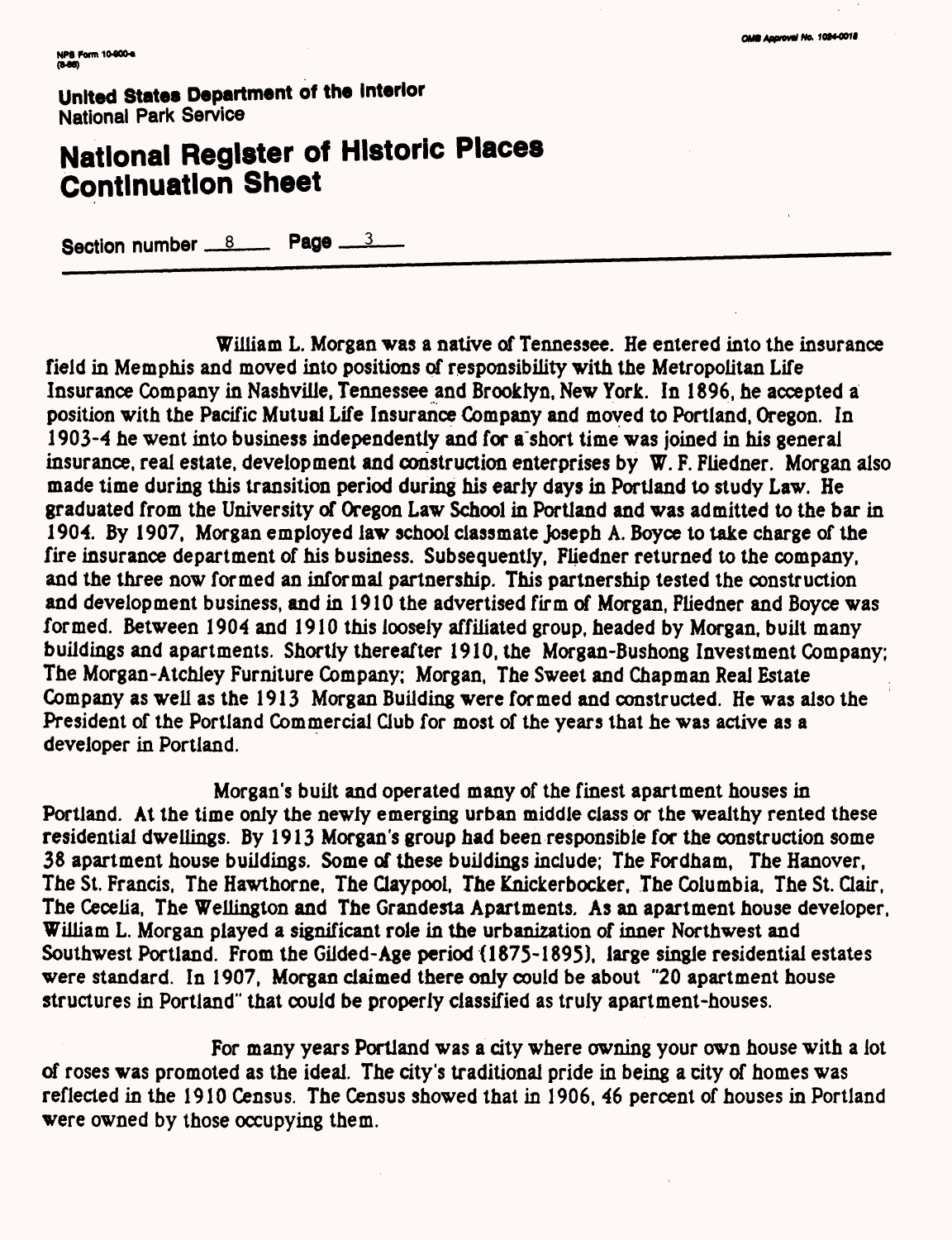# **National Register of Historic Places Continuation Sheet**

Section number  $8 \times 10^{-3}$  Page  $3 \times 10^{-3}$ 

William L. Morgan was a native of Tennessee. He entered into the insurance field in Memphis and moved into positions of responsibility with the Metropolitan Life Insurance Company in Nashville, Tennessee and Brooklyn, New York. In 1896, he accepted a position with the Pacific Mutual Life Insurance Company and moved to Portland, Oregon. In 1903-4 he went into business independently and for a short time was joined in his general insurance, real estate, development and construction enterprises by W. F. Fliedner. Morgan also made time during this transition period during his early days in Portland to study Law. He graduated from the University of Oregon Law School in Portland and was admitted to the bar in 1904. By 1907, Morgan employed law school classmate Joseph A. Boyce to take charge of the fire insurance department of his business. Subsequently, Fliedner returned to the company, and the three now formed an informal partnership. This partnership tested the construction and development business, and in 1910 the advertised firm of Morgan, Fliedner and Boyce was formed. Between 1904 and 1910 this loosely affiliated group, headed by Morgan, built many buildings and apartments. Shortly thereafter 1910, the Morgan-Bushong Investment Company; The Morgan-Atchley Furniture Company; Morgan, The Sweet and Chapman Real Estate Company as well as the 1913 Morgan Building were formed and constructed. He was also the President of the Portland Commercial Club for most of the years that he was active as a developer in Portland.

Morgan's built and operated many of the finest apartment houses in Portland. At the time only the newly emerging urban middle class or the wealthy rented these residential dwellings. By 1913 Morgan's group had been responsible for the construction some 38 apartment house buildings. Some of these buildings include; The Fordham, The Hanover, The St. Francis, The Hawthorne, The Claypooi, The Knickerbocker, The Columbia, The St. Clair, The Cecelia, The Wellington and The Grandesta Apartments. As an apartment house developer, William L. Morgan played a significant role in the urbanization of inner Northwest and Southwest Portland. From the Gilded-Age period (1875-1895), large single residential estates were standard. In 1907, Morgan claimed there only could be about "20 apartment house structures in Portland" that could be properly classified as truly apartment-houses.

For many years Portland was a city where owning your own house with a lot of roses was promoted as the ideal. The city's traditional pride in being a city of homes was reflected in the 1910 Census. The Census showed that in 1906, 46 percent of houses in Portland were owned by those occupying them.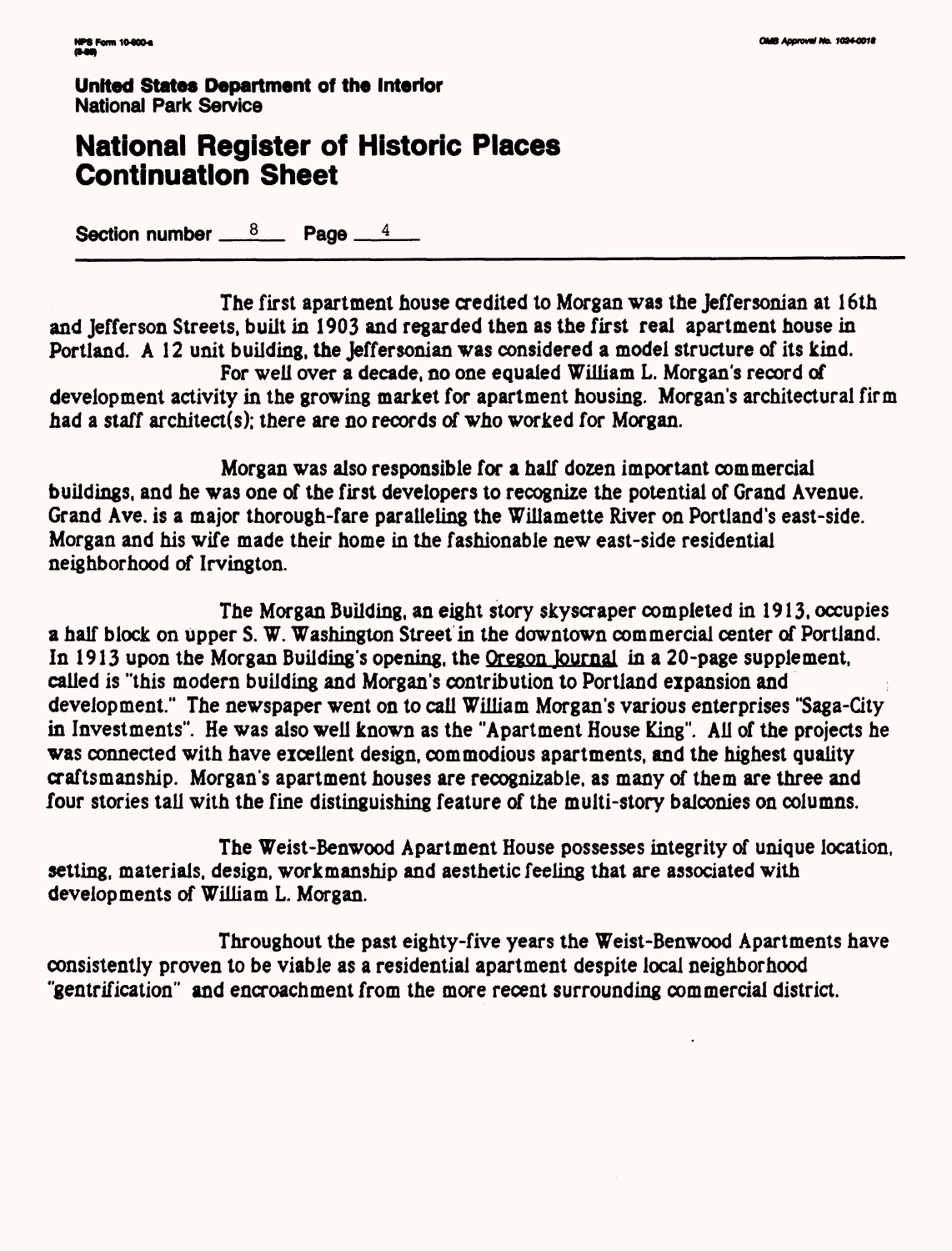## **National Register of Historic Places Continuation Sheet**

**Section number**  $\frac{8}{2}$  **Page**  $\frac{4}{4}$ 

The first apartment house credited to Morgan was the Jeffersonian at 16th and lefferson Streets, built in 1903 and regarded then as the first real apartment house in Portland. A 12 unit building, the Jeffersonian was considered a model structure of its kind. For well over a decade, no one equaled William L. Morgan's record of development activity in the growing market for apartment housing. Morgan's architectural firm

had a staff architect(s); there are no records of who worked for Morgan.

Morgan was also responsible for a half dozen important commercial buildings, and he was one of the first developers to recognize the potential of Grand Avenue. Grand Ave. is a major thorough-fare paralleling the Willamette River on Portland's east-side. Morgan and his wife made their home in the fashionable new east-side residential neighborhood of Irvington.

The Morgan Building, an eight story skyscraper completed in 1913, occupies a half block on upper S. W. Washington Street in the downtown commercial center of Portland. In 1913 upon the Morgan Building's opening, the Oregon Journal in a 20-page supplement, called is "this modern building and Morgan's contribution to Portland expansion and development." The newspaper went on to call William Morgan's various enterprises "Saga-Gty in Investments". He was also well known as the "Apartment House King". All of the projects he was connected with have excellent design, commodious apartments, and the highest quality craftsmanship. Morgan's apartment houses are recognizable, as many of them are three and four stories tall with the fine distinguishing feature of the multi-story balconies on columns.

The Weist-Benwood Apartment House possesses integrity of unique location, setting, materials, design, workmanship and aesthetic feeling that are associated with developments of William L. Morgan.

Throughout the past eighty-five years the Weist-Benwood Apartments have consistently proven to be viable as a residential apartment despite local neighborhood "gentrification" and encroachment from the more recent surrounding commercial district.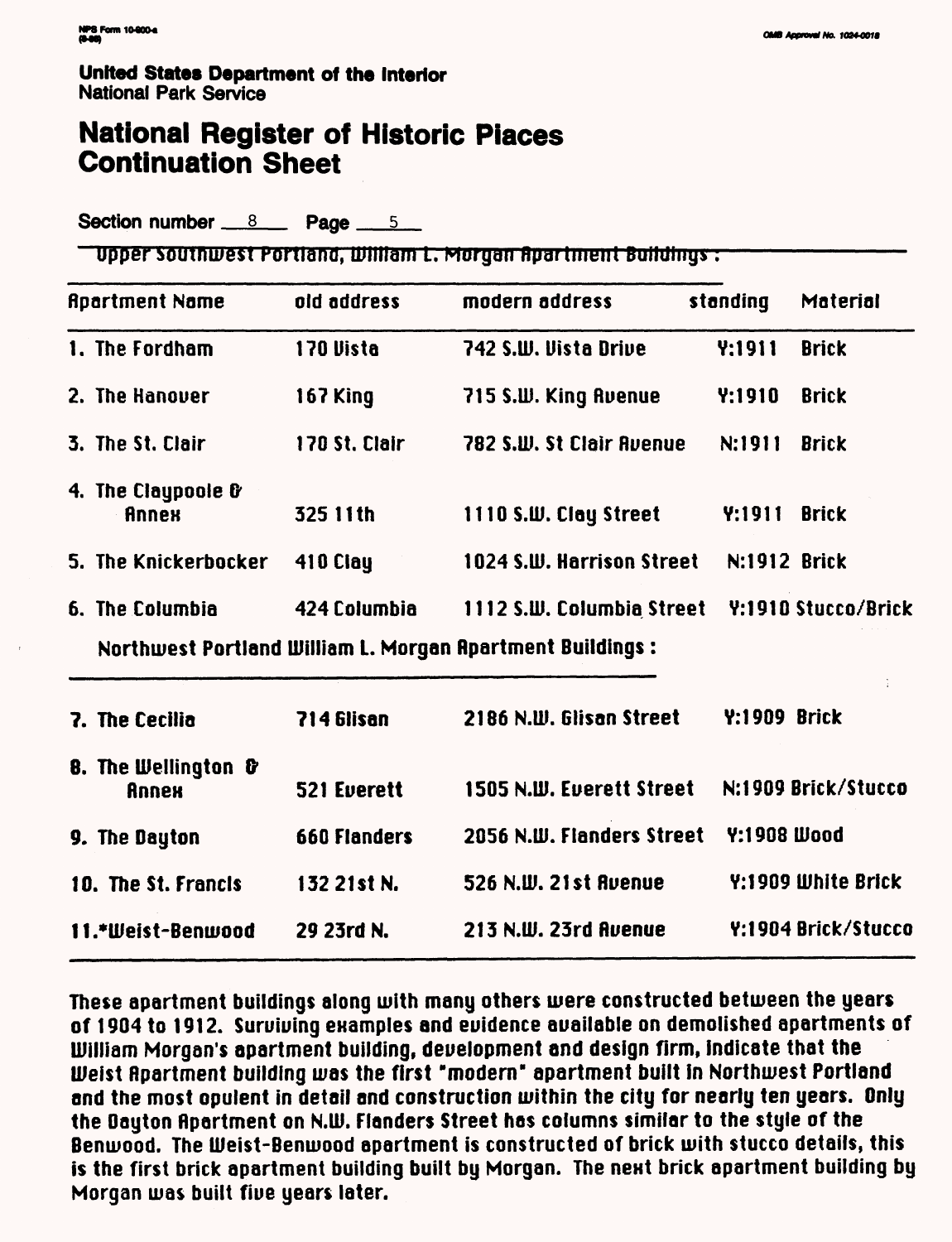# **National Register of Historic Places Continuation Sheet**

Section number 8 Page  $5$ 

<u>- Upper Southwest Portland, William L. Morgan Apartment Buildings:</u>

| <b>Apartment Name</b>                          | old address   | modern address                                             | standing            | Material            |
|------------------------------------------------|---------------|------------------------------------------------------------|---------------------|---------------------|
| 1. The Fordham                                 | 170 Vista     | 742 S.W. Vista Drive                                       | <b>Y:1911</b>       | <b>Brick</b>        |
| 2. The Hanover                                 | 167 King      | 715 S.W. King Ruenue                                       | Y:1910              | <b>Brick</b>        |
| 3. The St. Clair                               | 170 St. Clair | 782 S.W. St Clair Avenue                                   | N:1911              | <b>Brick</b>        |
| 4. The Claypoole &<br><b>Annex</b>             | 325 11th      | 1110 S.W. Clay Street                                      | Y:1911              | <b>Brick</b>        |
| 5. The Knickerbocker                           | 410 Clay      | 1024 S.W. Harrison Street                                  | N:1912 Brick        |                     |
| 6. The Columbia                                | 424 Columbia  | 1112 S.W. Columbia Street                                  |                     | Y:1910 Stucco/Brick |
|                                                |               | Northwest Portland William L. Morgan Apartment Buildings : |                     |                     |
| 7. The Cecilia                                 | 714 Glisan    | 2186 N.W. Glisan Street                                    | <b>Y:1909 Brick</b> |                     |
| <b>8. The Wellington &amp;</b><br><b>Annex</b> | 521 Everett   | 1505 N.W. Everett Street                                   |                     | N:1909 Brick/Stucco |
| 9. The Dayton                                  | 660 Flanders  | 2056 N.W. Flanders Street                                  | Y:1908 Wood         |                     |
| 10. The St. Francis                            | 132 21st N.   | 526 N.W. 21st Ruenue                                       |                     | Y:1909 White Brick  |
| 11.*Weist-Benwood                              | 29 23rd N.    | 213 N.W. 23rd Avenue                                       |                     | Y:1904 Brick/Stucco |

These apartment buildings along with many others were constructed between the years of 1904 to 1912. Suruiuing enamples and euidence auailable on demolished apartments of William Morgan's apartment building, deuelopment and design firm, indicate that the Weist Rpartment building was the first "modern" apartment built in Northwest Portland and the most opulent in detail and construction within the city for nearly ten years. Only the Dayton Apartment on N.W. Flanders Street has columns similar to the style of the Benwood. The LUeist-Benwood apartment is constructed of brick with stucco details, this is the first brick apartment building built by Morgan. The next brick apartment building by Morgan was built fiue years later.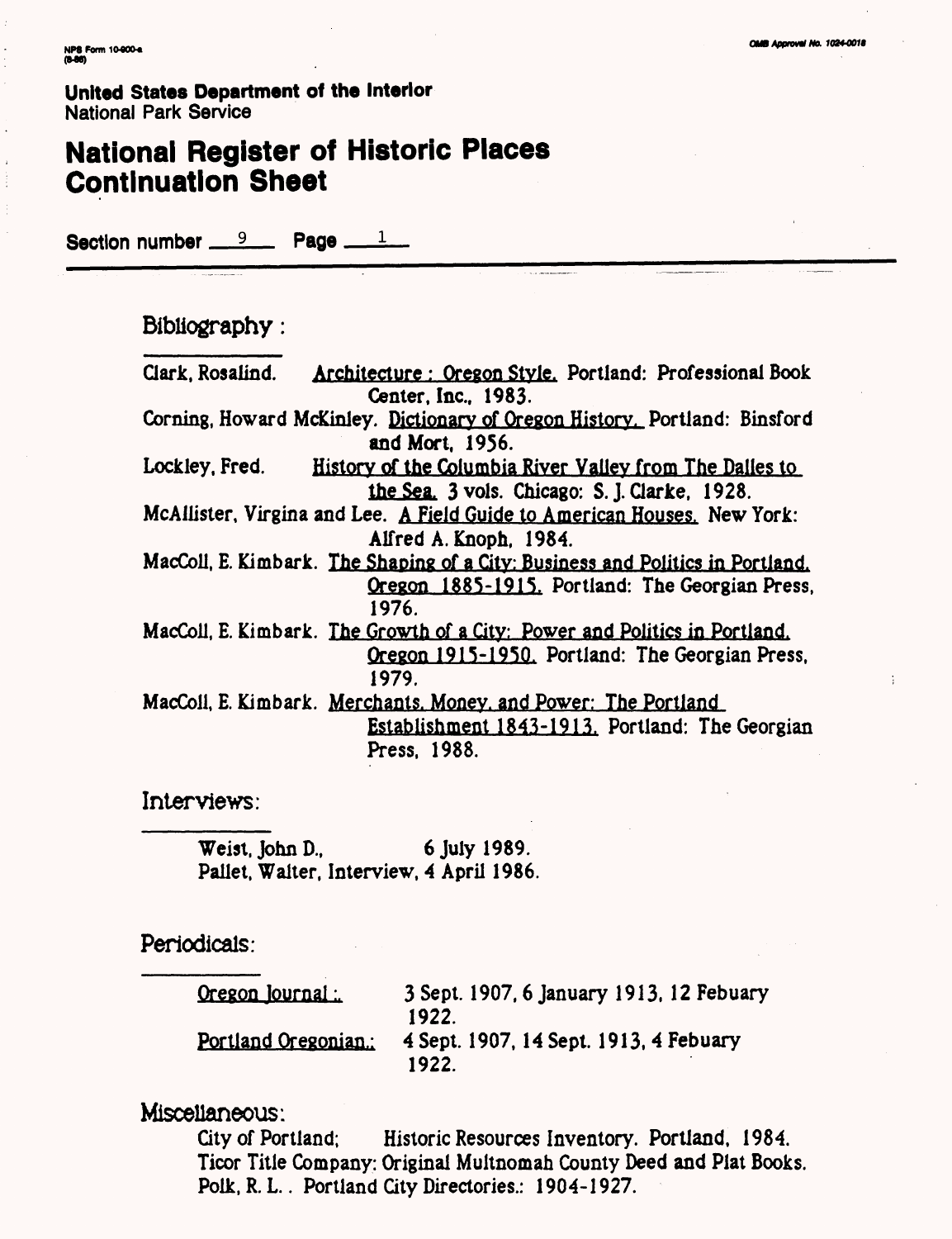## **National Register of Historic Places Continuation Sheet**

Section number  $9 - 12$  Page  $-$ 

### Bibliography :

Clark, Rosalind. Architecture: Oregon Style. Portland: Professional Book Center, Inc., 1983. Corning, Howard McKinley. Dictionary of Oregon History. Portland: Binsford and Mort, 1956. Lockley, Fred. History of the Columbia River Valley from The Dalles to the Sea. 3 vois. Chicago: S.J.Clarke, 1928. McAilister, Virgina and Lee. A Field Guide to American Houses. New York: Alfred A. Knoph, 1984. MacColi, E. Kimbark. The Shaping of a City: Business and Politics in Portland. Oregon 1885-1915. Portland: The Georgian Press, 1976. MacColl, E. Kimbark. The Growth of a City: Power and Politics in Portland. Oregon 1915-1950. Portland: The Georgian Press, 1979. MacColl, E. Kimbark. Merchants. Money, and Power: The Portland Establishment 1843-1913. Portland: The Georgian Press, 1988.

Interviews:

Weist, John D., 6 July 1989. Pallet, Walter, Interview, 4 April 1986.

Periodicals:

Oregon Journal:. 3 Sept. 1907,6 January 1913,12 Febuary 1922. Portland Oregonian.: 4 Sept. 1907,14 Sept. 1913, 4 Febuary 1922.

Miscellaneous:

City of Portland; Historic Resources Inventory. Portland, 1984. Ticor Title Company: Original Muitnomah County Deed and Plat Books. Polk, R. L.. Portland City Directories.: 1904-1927.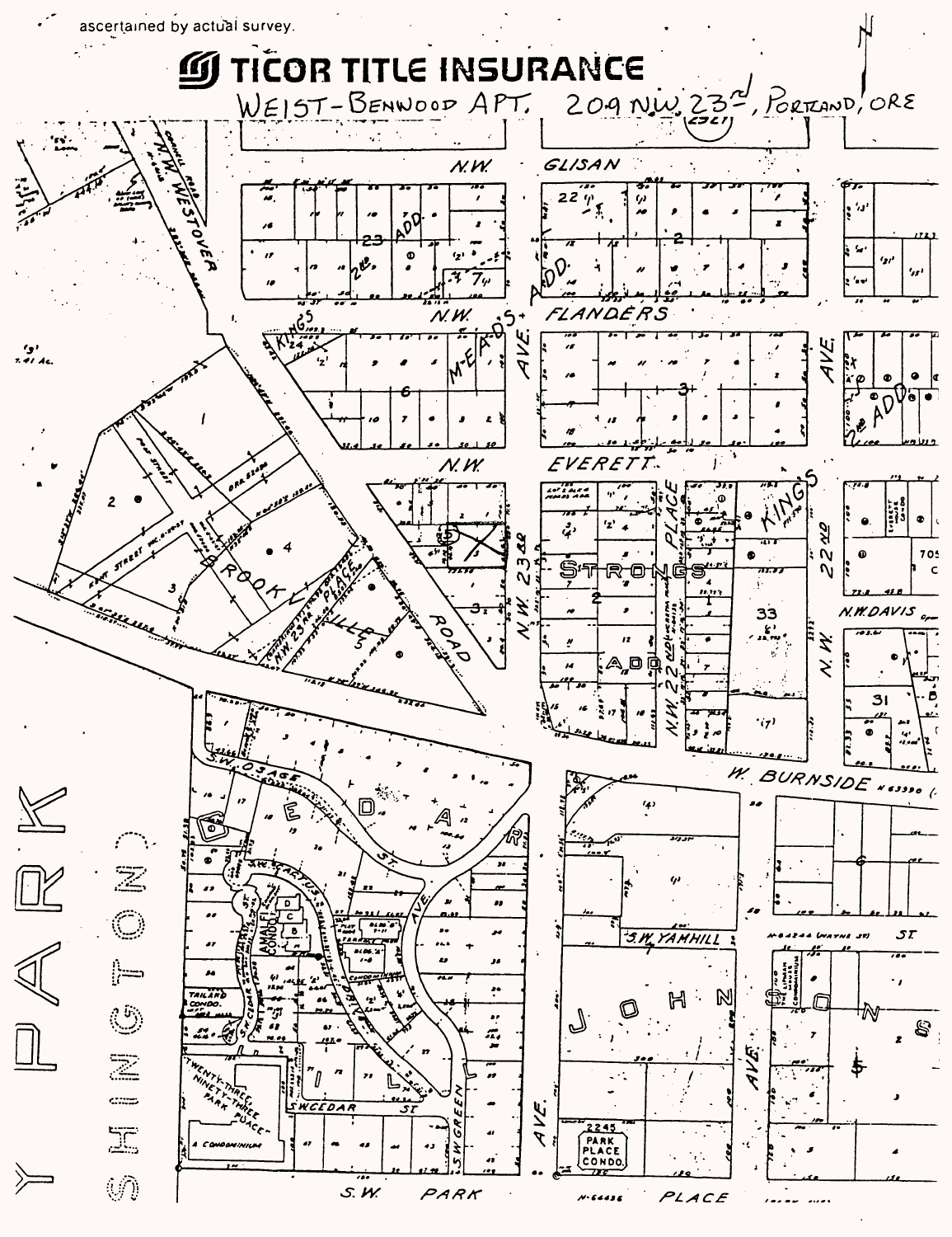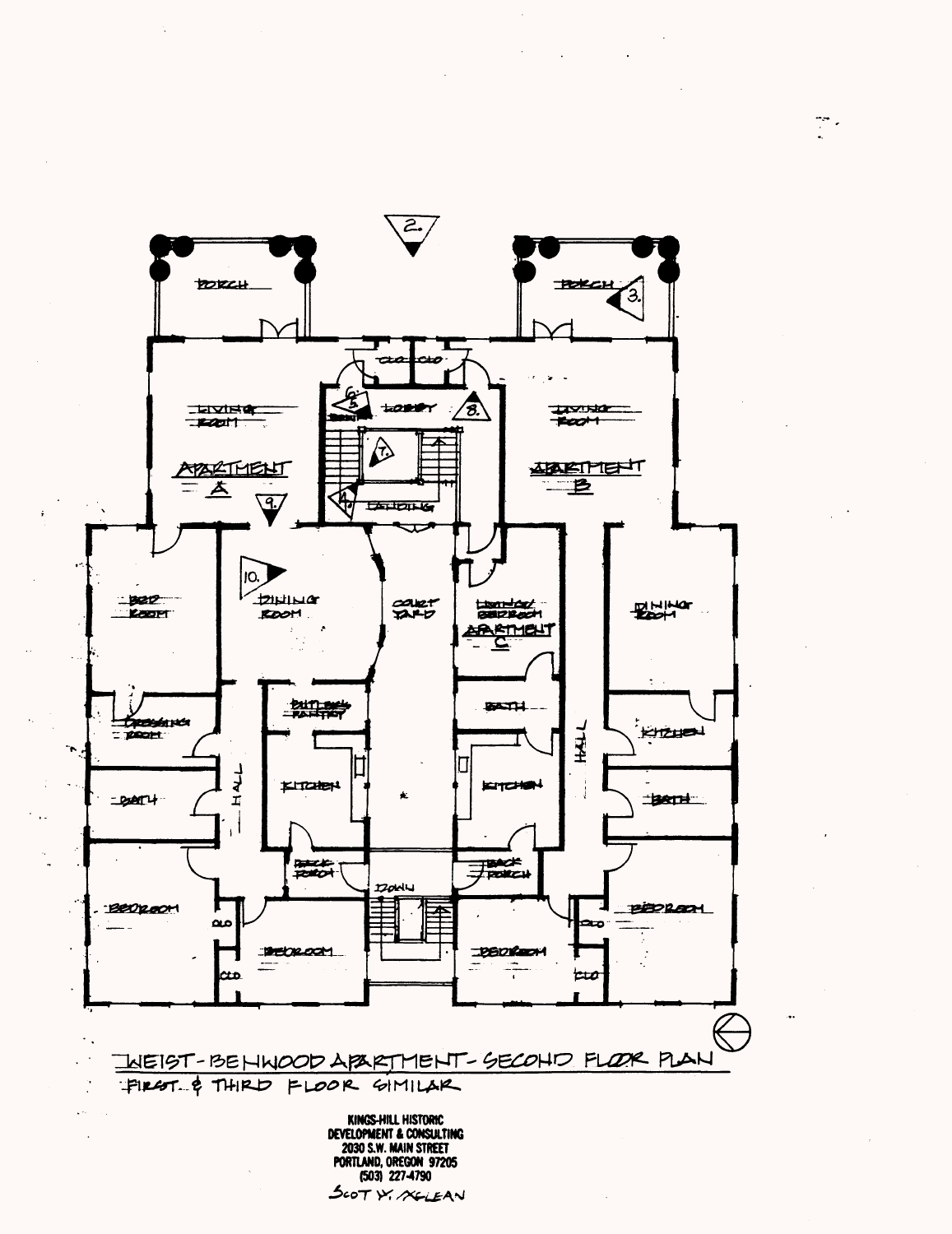

 $\frac{1}{2} \frac{1}{2}$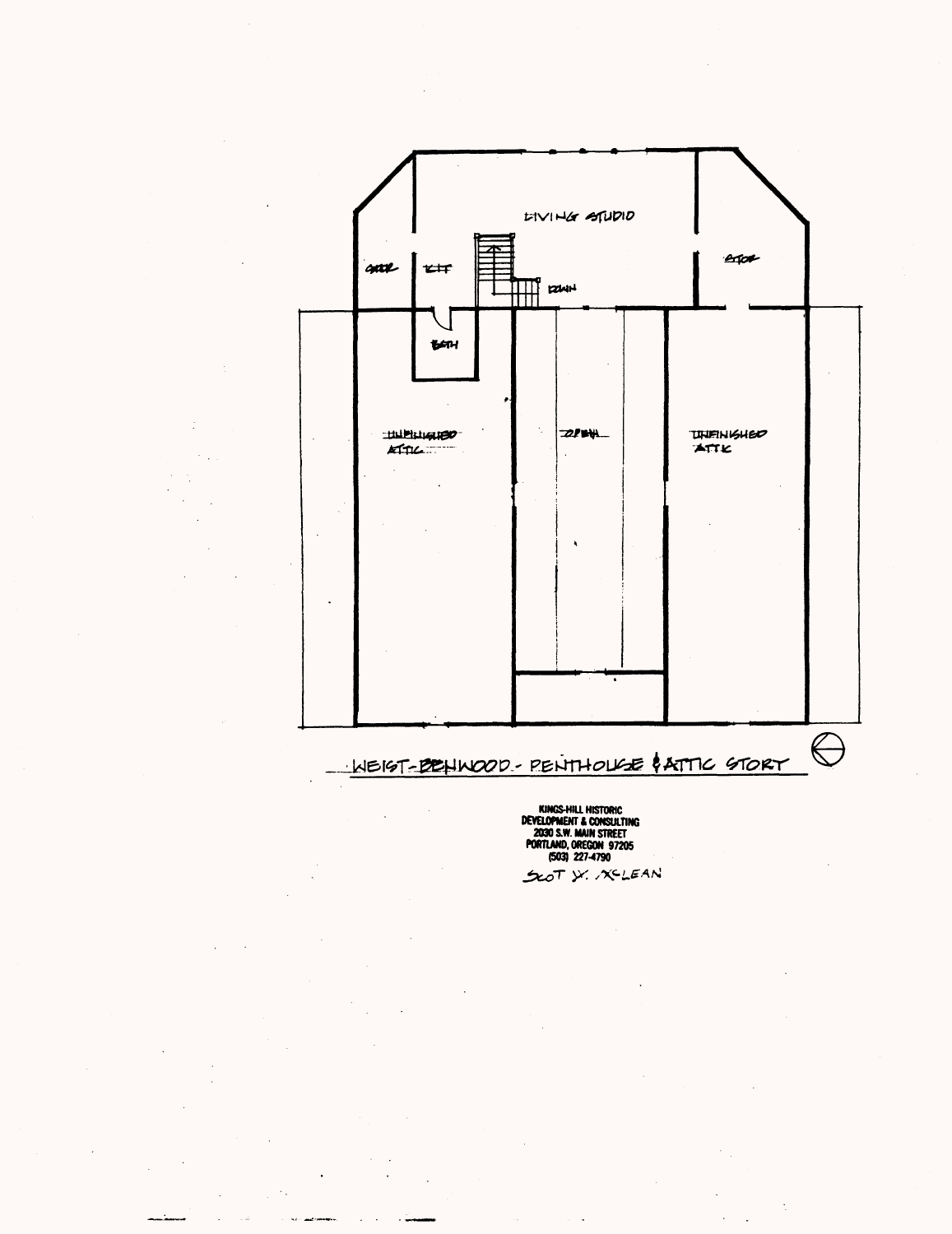

**KINGS-HILL HISTORIC<br>DEVELOPMENT & CONSULTING<br>2030 S.W. MAIN STREET<br>PORTLAND, OREGON 97205<br>(503) 227-4790**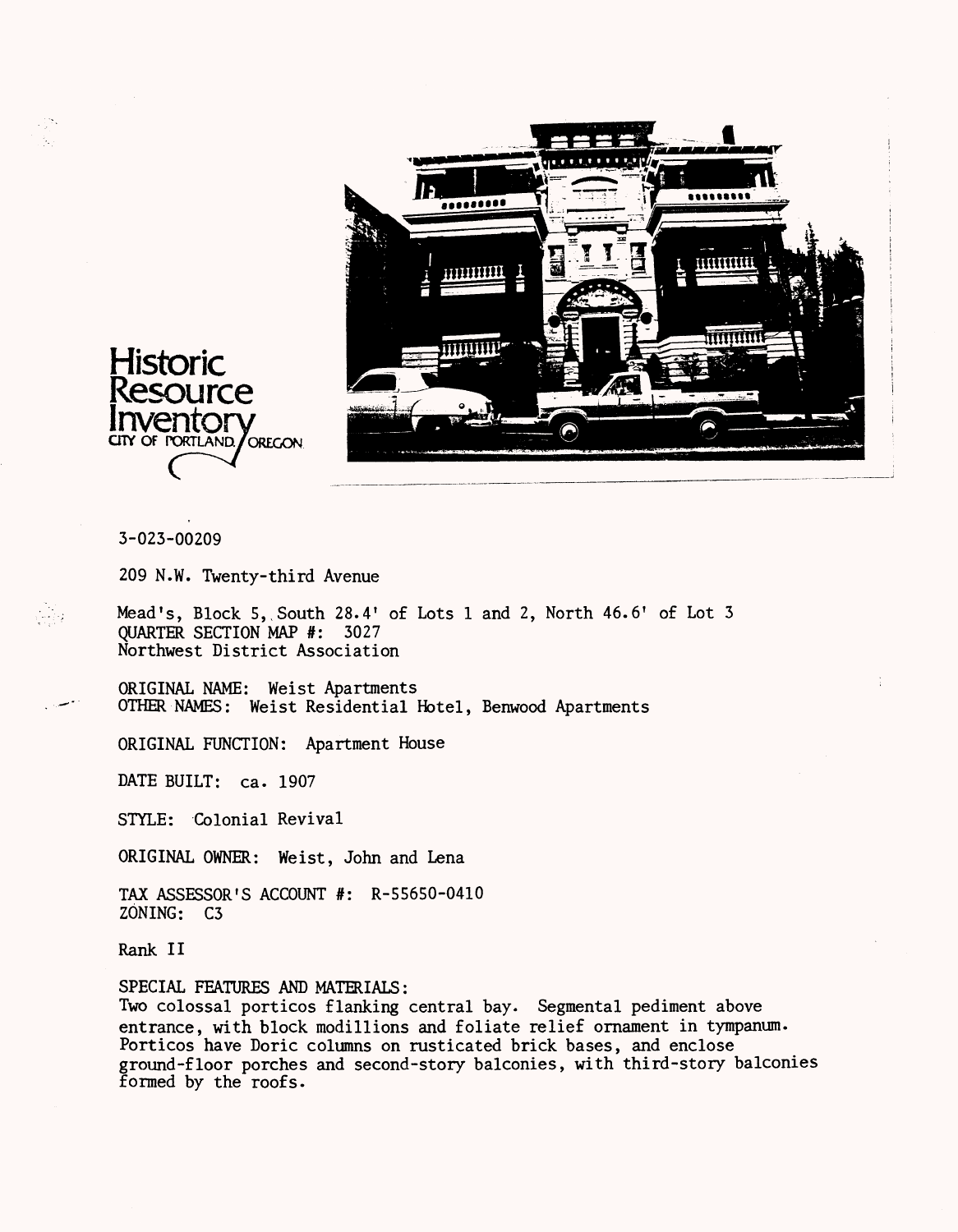

#### 3-023-00209

209 N.W. Twenty-third Avenue

Mead's, Block 5, South 28.4' of Lots 1 and 2, North 46.6' of Lot 3 QUARTER SECTION MAP #: 3027 Northwest District Association

ORIGINAL NAME: Weist Apartments OTHER NAMES: Weist Residential Hotel, Benwood Apartments

ORIGINAL FUNCTION: Apartment House

DATE BUILT: ca. 1907

STYLE: Colonial Revival

ORIGINAL OWNER: Weist, John and Lena

TAX ASSESSOR'S ACCOUNT #: R-55650-0410 ZONING: C3

Rank II

#### SPECIAL FEATURES AND MATERIALS:

Two colossal porticos flanking central bay. Segmental pediment above entrance, with block modillions and foliate relief ornament in tympanum. Porticos have Doric columns on rusticated brick bases, and enclose ground-floor porches and second-story balconies, with third-story balconies formed by the roofs.